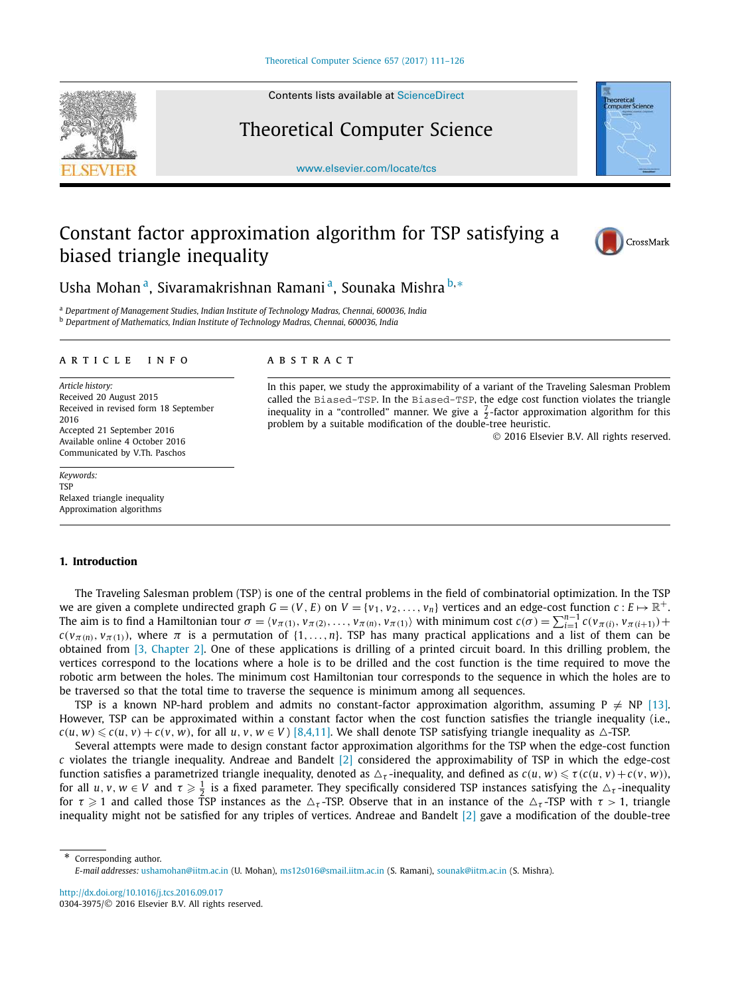Contents lists available at ScienceDirect

# Theoretical Computer Science

www.elsevier.com/locate/tcs

# Constant factor approximation algorithm for TSP satisfying a biased triangle inequality



<sup>b</sup> *Department of Mathematics, Indian Institute of Technology Madras, Chennai, 600036, India*

#### A R T I C L E I N F O A B S T R A C T

*Article history:* Received 20 August 2015 Received in revised form 18 September 2016 Accepted 21 September 2016 Available online 4 October 2016 Communicated by V.Th. Paschos

*Keywords:* **TSP** Relaxed triangle inequality Approximation algorithms

# **1. Introduction**

The Traveling Salesman problem (TSP) is one of the central problems in the field of combinatorial optimization. In the TSP we are given a complete undirected graph  $G = (V, E)$  on  $V = \{v_1, v_2, \ldots, v_n\}$  vertices and an edge-cost function  $c: E \mapsto \mathbb{R}^+$ . The aim is to find a Hamiltonian tour  $\sigma = \langle v_{\pi(1)}, v_{\pi(2)}, \ldots, v_{\pi(n)}, v_{\pi(1)} \rangle$  with minimum cost  $c(\sigma) = \sum_{i=1}^{n-1} c(v_{\pi(i)}, v_{\pi(i+1)}) +$  $c(v_{\pi(n)}, v_{\pi(1)})$ , where  $\pi$  is a permutation of  $\{1, \ldots, n\}$ . TSP has many practical applications and a list of them can be obtained from [3, Chapter 2]. One of these applications is drilling of a printed circuit board. In this drilling problem, the vertices correspond to the locations where a hole is to be drilled and the cost function is the time required to move the robotic arm between the holes. The minimum cost Hamiltonian tour corresponds to the sequence in which the holes are to be traversed so that the total time to traverse the sequence is minimum among all sequences.

TSP is a known NP-hard problem and admits no constant-factor approximation algorithm, assuming  $P \neq NP$  [13]. However, TSP can be approximated within a constant factor when the cost function satisfies the triangle inequality (i.e.,  $c(u, w) \leqslant c(u, v) + c(v, w)$ , for all *u*, *v*,  $w \in V$  ) [8,4,11]. We shall denote TSP satisfying triangle inequality as  $\triangle$ -TSP.

Several attempts were made to design constant factor approximation algorithms for the TSP when the edge-cost function *c* violates the triangle inequality. Andreae and Bandelt [2] considered the approximability of TSP in which the edge-cost function satisfies a parametrized triangle inequality, denoted as  $\triangle_\tau$ -inequality, and defined as  $c(u,w) \leqslant \tau(c(u,v) + c(v,w))$ , for all  $u, v, w \in V$  and  $\tau \geqslant \frac{1}{2}$  is a fixed parameter. They specifically considered TSP instances satisfying the  $\triangle_{\tau}$ -inequality for  $\tau \ge 1$  and called those TSP instances as the  $\Delta_{\tau}$ -TSP. Observe that in an instance of the  $\Delta_{\tau}$ -TSP with  $\tau > 1$ , triangle inequality might not be satisfied for any triples of vertices. Andreae and Bandelt [2] gave a modification of the double-tree

\* Corresponding author. *E-mail addresses:* ushamohan@iitm.ac.in (U. Mohan), ms12s016@smail.iitm.ac.in (S. Ramani), sounak@iitm.ac.in (S. Mishra).

http://dx.doi.org/10.1016/j.tcs.2016.09.017 0304-3975/© 2016 Elsevier B.V. All rights reserved.

<sup>a</sup> *Department of Management Studies, Indian Institute of Technology Madras, Chennai, 600036, India*

In this paper, we study the approximability of a variant of the Traveling Salesman Problem called the Biased-TSP. In the Biased-TSP, the edge cost function violates the triangle inequality in a "controlled" manner. We give a  $\frac{7}{2}$ -factor approximation algorithm for this problem by a suitable modification of the double-tree heuristic.

2016 Elsevier B.V. All rights reserved.



CrossMark

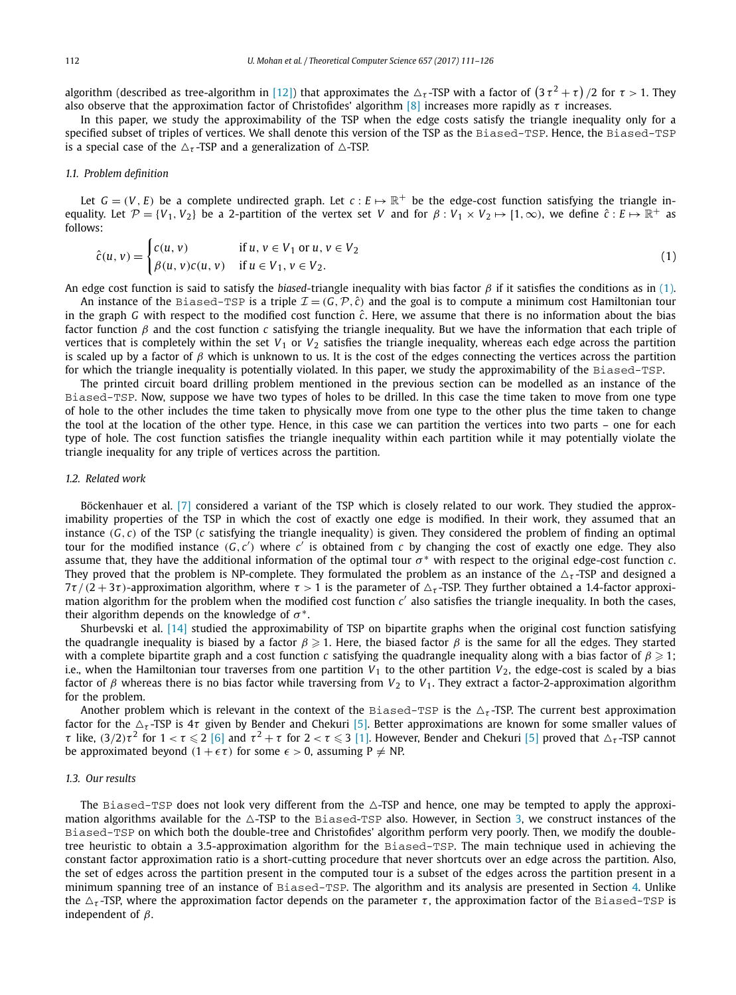algorithm (described as tree-algorithm in [12]) that approximates the  $\Delta_\tau$ -TSP with a factor of  $(3\,\tau^2+\tau)/2$  for  $\tau>1$ . They also observe that the approximation factor of Christofides' algorithm [8] increases more rapidly as  $\tau$  increases.

In this paper, we study the approximability of the TSP when the edge costs satisfy the triangle inequality only for a specified subset of triples of vertices. We shall denote this version of the TSP as the Biased-TSP. Hence, the Biased-TSP is a special case of the  $\Delta_{\tau}$ -TSP and a generalization of  $\Delta$ -TSP.

# *1.1. Problem definition*

Let  $G = (V, E)$  be a complete undirected graph. Let  $c : E \mapsto \mathbb{R}^+$  be the edge-cost function satisfying the triangle inequality. Let  $\mathcal{P} = \{V_1, V_2\}$  be a 2-partition of the vertex set *V* and for  $\beta: V_1 \times V_2 \mapsto [1,\infty)$ , we define  $\hat{c}: E \mapsto \mathbb{R}^+$  as follows:

$$
\hat{c}(u, v) = \begin{cases} c(u, v) & \text{if } u, v \in V_1 \text{ or } u, v \in V_2 \\ \beta(u, v)c(u, v) & \text{if } u \in V_1, v \in V_2. \end{cases}
$$
\n(1)

An edge cost function is said to satisfy the *biased*-triangle inequality with bias factor  $\beta$  if it satisfies the conditions as in (1).

An instance of the Biased-TSP is a triple  $\mathcal{I} = (G, \mathcal{P}, \hat{c})$  and the goal is to compute a minimum cost Hamiltonian tour in the graph *G* with respect to the modified cost function *c*ˆ. Here, we assume that there is no information about the bias factor function β and the cost function *c* satisfying the triangle inequality. But we have the information that each triple of vertices that is completely within the set  $V_1$  or  $V_2$  satisfies the triangle inequality, whereas each edge across the partition is scaled up by a factor of  $\beta$  which is unknown to us. It is the cost of the edges connecting the vertices across the partition for which the triangle inequality is potentially violated. In this paper, we study the approximability of the Biased-TSP.

The printed circuit board drilling problem mentioned in the previous section can be modelled as an instance of the Biased-TSP. Now, suppose we have two types of holes to be drilled. In this case the time taken to move from one type of hole to the other includes the time taken to physically move from one type to the other plus the time taken to change the tool at the location of the other type. Hence, in this case we can partition the vertices into two parts – one for each type of hole. The cost function satisfies the triangle inequality within each partition while it may potentially violate the triangle inequality for any triple of vertices across the partition.

## *1.2. Related work*

Böckenhauer et al. [7] considered a variant of the TSP which is closely related to our work. They studied the approximability properties of the TSP in which the cost of exactly one edge is modified. In their work, they assumed that an instance (*G*, *c*) of the TSP (*c* satisfying the triangle inequality) is given. They considered the problem of finding an optimal tour for the modified instance  $(G, c')$  where  $c'$  is obtained from  $c$  by changing the cost of exactly one edge. They also assume that, they have the additional information of the optimal tour  $\sigma^*$  with respect to the original edge-cost function  $c$ . They proved that the problem is NP-complete. They formulated the problem as an instance of the  $\Delta_{\tau}$ -TSP and designed a  $7\tau/(2+3\tau)$ -approximation algorithm, where  $\tau > 1$  is the parameter of  $\Delta_{\tau}$ -TSP. They further obtained a 1.4-factor approximation algorithm for the problem when the modified cost function c' also satisfies the triangle inequality. In both the cases, their algorithm depends on the knowledge of  $\sigma^*$ .

Shurbevski et al. [14] studied the approximability of TSP on bipartite graphs when the original cost function satisfying the quadrangle inequality is biased by a factor  $\beta \geq 1$ . Here, the biased factor  $\beta$  is the same for all the edges. They started with a complete bipartite graph and a cost function *c* satisfying the quadrangle inequality along with a bias factor of  $\beta \geq 1$ ; i.e., when the Hamiltonian tour traverses from one partition  $V_1$  to the other partition  $V_2$ , the edge-cost is scaled by a bias factor of β whereas there is no bias factor while traversing from *V*<sup>2</sup> to *V*1. They extract a factor-2-approximation algorithm for the problem.

Another problem which is relevant in the context of the Biased-TSP is the  $\Delta_{\tau}$ -TSP. The current best approximation factor for the  $\Delta_{\tau}$ -TSP is 4 $\tau$  given by Bender and Chekuri [5]. Better approximations are known for some smaller values of τ like, (3/2)τ<sup>2</sup> for 1 < τ  $\leqslant$  2 [6] and τ<sup>2</sup> + τ for 2 < τ  $\leqslant$  3 [1]. However, Bender and Chekuri [5] proved that  $\Delta$ <sub>τ</sub>-TSP cannot be approximated beyond  $(1 + \epsilon \tau)$  for some  $\epsilon > 0$ , assuming  $P \neq NP$ .

## *1.3. Our results*

The Biased-TSP does not look very different from the  $\triangle$ -TSP and hence, one may be tempted to apply the approximation algorithms available for the  $\triangle$ -TSP to the Biased-TSP also. However, in Section 3, we construct instances of the Biased-TSP on which both the double-tree and Christofides' algorithm perform very poorly. Then, we modify the doubletree heuristic to obtain a 3.5-approximation algorithm for the Biased-TSP. The main technique used in achieving the constant factor approximation ratio is a short-cutting procedure that never shortcuts over an edge across the partition. Also, the set of edges across the partition present in the computed tour is a subset of the edges across the partition present in a minimum spanning tree of an instance of Biased-TSP. The algorithm and its analysis are presented in Section 4. Unlike the  $\Delta_{\tau}$ -TSP, where the approximation factor depends on the parameter  $\tau$ , the approximation factor of the Biased-TSP is independent of  $\beta$ .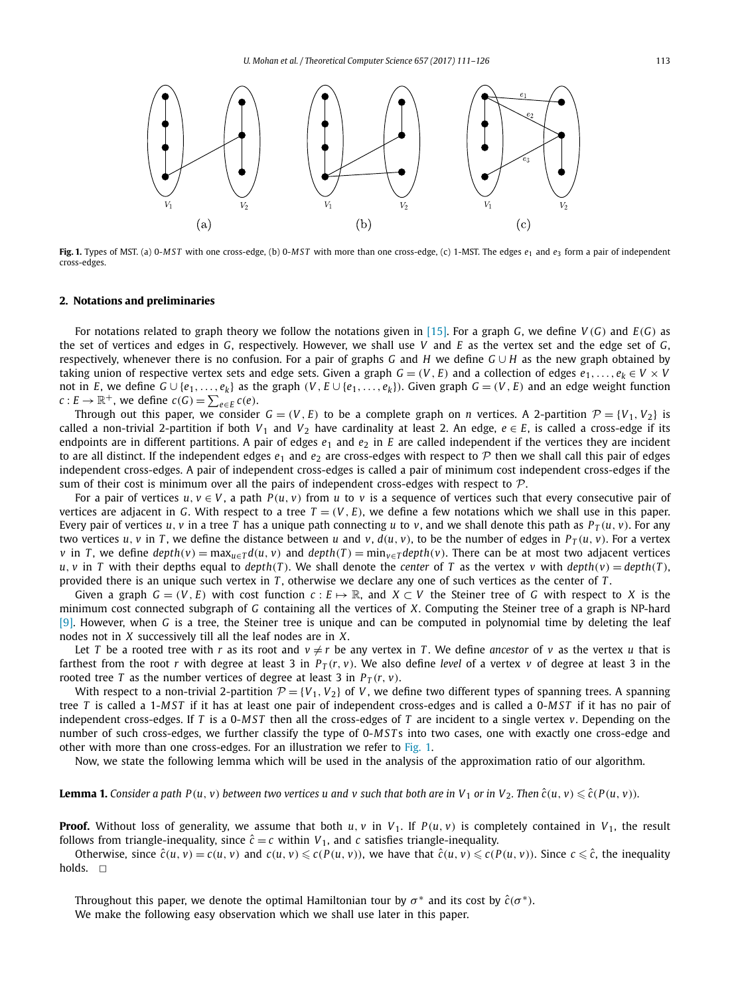

**Fig. 1.** Types of MST. (a) 0-*MST* with one cross-edge, (b) 0-*MST* with more than one cross-edge, (c) 1-MST. The edges *e*<sup>1</sup> and *e*<sup>3</sup> form a pair of independent cross-edges.

# **2. Notations and preliminaries**

For notations related to graph theory we follow the notations given in [15]. For a graph *G*, we define *V* (*G*) and *E*(*G*) as the set of vertices and edges in *G*, respectively. However, we shall use *V* and *E* as the vertex set and the edge set of *G*, respectively, whenever there is no confusion. For a pair of graphs *G* and *H* we define *G* ∪ *H* as the new graph obtained by taking union of respective vertex sets and edge sets. Given a graph  $G = (V, E)$  and a collection of edges  $e_1, \ldots, e_k \in V \times V$ not in *E*, we define  $G \cup \{e_1,\ldots,e_k\}$  as the graph  $(V,E \cup \{e_1,\ldots,e_k\})$ . Given graph  $G = (V,E)$  and an edge weight function  $c: E \to \mathbb{R}^+$ , we define  $c(G) = \sum_{e \in E} c(e)$ .

Through out this paper, we consider  $G = (V, E)$  to be a complete graph on *n* vertices. A 2-partition  $\mathcal{P} = \{V_1, V_2\}$  is called a non-trivial 2-partition if both  $V_1$  and  $V_2$  have cardinality at least 2. An edge,  $e \in E$ , is called a cross-edge if its endpoints are in different partitions. A pair of edges  $e_1$  and  $e_2$  in  $E$  are called independent if the vertices they are incident to are all distinct. If the independent edges  $e_1$  and  $e_2$  are cross-edges with respect to  $P$  then we shall call this pair of edges independent cross-edges. A pair of independent cross-edges is called a pair of minimum cost independent cross-edges if the sum of their cost is minimum over all the pairs of independent cross-edges with respect to  $P$ .

For a pair of vertices  $u, v \in V$ , a path  $P(u, v)$  from  $u$  to  $v$  is a sequence of vertices such that every consecutive pair of vertices are adjacent in *G*. With respect to a tree  $T = (V, E)$ , we define a few notations which we shall use in this paper. Every pair of vertices *u*, *v* in a tree *T* has a unique path connecting *u* to *v*, and we shall denote this path as  $P_T(u, v)$ . For any two vertices *u*, *v* in *T*, we define the distance between *u* and *v*,  $d(u, v)$ , to be the number of edges in  $P_T(u, v)$ . For a vertex v in T, we define  $depth(v) = max_{u \in T} d(u, v)$  and  $depth(T) = min_{v \in T} depth(v)$ . There can be at most two adjacent vertices *u*, *v* in *T* with their depths equal to *depth*(*T*). We shall denote the *center* of *T* as the vertex *v* with  $depth(v) = depth(T)$ , provided there is an unique such vertex in *T* , otherwise we declare any one of such vertices as the center of *T* .

Given a graph  $G = (V, E)$  with cost function  $c : E \mapsto \mathbb{R}$ , and  $X \subset V$  the Steiner tree of G with respect to X is the minimum cost connected subgraph of *G* containing all the vertices of *X*. Computing the Steiner tree of a graph is NP-hard [9]. However, when *G* is a tree, the Steiner tree is unique and can be computed in polynomial time by deleting the leaf nodes not in *X* successively till all the leaf nodes are in *X*.

Let *T* be a rooted tree with *r* as its root and  $v \neq r$  be any vertex in *T*. We define *ancestor* of *v* as the vertex *u* that is farthest from the root *r* with degree at least 3 in  $P_T(r, v)$ . We also define *level* of a vertex *v* of degree at least 3 in the rooted tree *T* as the number vertices of degree at least 3 in  $P_T(r, v)$ .

With respect to a non-trivial 2-partition  $\mathcal{P} = \{V_1, V_2\}$  of *V*, we define two different types of spanning trees. A spanning tree *T* is called a 1-*MST* if it has at least one pair of independent cross-edges and is called a 0-*MST* if it has no pair of independent cross-edges. If *T* is a 0-*MST* then all the cross-edges of *T* are incident to a single vertex *v*. Depending on the number of such cross-edges, we further classify the type of 0-*MST* s into two cases, one with exactly one cross-edge and other with more than one cross-edges. For an illustration we refer to Fig. 1.

Now, we state the following lemma which will be used in the analysis of the approximation ratio of our algorithm.

**Lemma 1.** Consider a path P(u, v) between two vertices u and v such that both are in V<sub>1</sub> or in V<sub>2</sub>. Then  $\hat{c}(u,v) \leqslant \hat{c}(P(u,v))$ .

**Proof.** Without loss of generality, we assume that both  $u, v$  in  $V_1$ . If  $P(u, v)$  is completely contained in  $V_1$ , the result follows from triangle-inequality, since  $\hat{c} = c$  within  $V_1$ , and *c* satisfies triangle-inequality.

Otherwise, since  $\hat{c}(u, v) = c(u, v)$  and  $c(u, v) \leq c(P(u, v))$ , we have that  $\hat{c}(u, v) \leq c(P(u, v))$ . Since  $c \leq \hat{c}$ , the inequality holds.  $\Box$ 

Throughout this paper, we denote the optimal Hamiltonian tour by  $\sigma^*$  and its cost by  $\hat{c}(\sigma^*)$ . We make the following easy observation which we shall use later in this paper.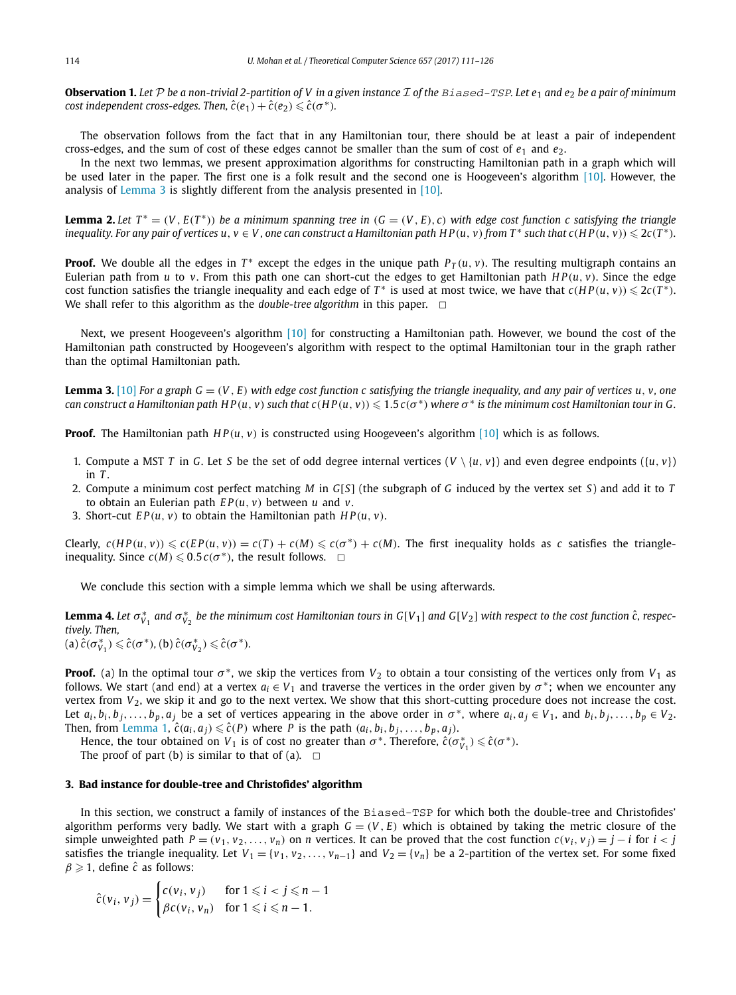**Observation 1.** Let P be a non-trivial 2-partition of V in a given instance I of the Biased-TSP. Let  $e_1$  and  $e_2$  be a pair of minimum *cost* independent *cross-edges.* Then,  $\hat{c}(e_1) + \hat{c}(e_2) \leq \hat{c}(\sigma^*)$ *.* 

The observation follows from the fact that in any Hamiltonian tour, there should be at least a pair of independent cross-edges, and the sum of cost of these edges cannot be smaller than the sum of cost of  $e_1$  and  $e_2$ .

In the next two lemmas, we present approximation algorithms for constructing Hamiltonian path in a graph which will be used later in the paper. The first one is a folk result and the second one is Hoogeveen's algorithm [10]. However, the analysis of Lemma 3 is slightly different from the analysis presented in [10].

**Lemma 2.** Let  $T^* = (V, E(T^*))$  be a minimum spanning tree in  $(G = (V, E), c)$  with edge cost function c satisfying the triangle inequality. For any pair of vertices  $u, v \in V$ , one can construct a Hamiltonian path  $HP(u, v)$  from  $T^*$  such that  $c(HP(u, v))$   $\leqslant$   $2c(T^*)$ .

**Proof.** We double all the edges in  $T^*$  except the edges in the unique path  $P_T(u, v)$ . The resulting multigraph contains an Eulerian path from *u* to *v*. From this path one can short-cut the edges to get Hamiltonian path  $HP(u, v)$ . Since the edge cost function satisfies the triangle inequality and each edge of  $T^*$  is used at most twice, we have that  $c(HP(u, v)) \leqslant 2c(T^*)$ . We shall refer to this algorithm as the *double-tree algorithm* in this paper.  $\Box$ 

Next, we present Hoogeveen's algorithm [10] for constructing a Hamiltonian path. However, we bound the cost of the Hamiltonian path constructed by Hoogeveen's algorithm with respect to the optimal Hamiltonian tour in the graph rather than the optimal Hamiltonian path.

**Lemma 3.** [10] For a graph  $G = (V, E)$  with edge cost function c satisfying the triangle inequality, and any pair of vertices  $u, v$ , one can construct a Hamiltonian path  $HP(u, v)$  such that  $c(HP(u, v))$   $\leqslant 1.5$   $c(\sigma^*)$  where  $\sigma^*$  is the minimum cost Hamiltonian tour in G.

**Proof.** The Hamiltonian path  $HP(u, v)$  is constructed using Hoogeveen's algorithm [10] which is as follows.

- 1. Compute a MST *T* in *G*. Let *S* be the set of odd degree internal vertices  $(V \setminus \{u, v\})$  and even degree endpoints  $(\{u, v\})$  $in T$
- 2. Compute a minimum cost perfect matching *M* in *G*[*S*] (the subgraph of *G* induced by the vertex set *S*) and add it to *T* to obtain an Eulerian path *E P*(*u*, *v*) between *u* and *v*.
- 3. Short-cut  $EP(u, v)$  to obtain the Hamiltonian path  $HP(u, v)$ .

Clearly,  $c(HP(u, v)) \leq c(EP(u, v)) = c(T) + c(M) \leq c(\sigma^*) + c(M)$ . The first inequality holds as c satisfies the triangleinequality. Since  $c(M) \leq 0.5 c(\sigma^*)$ , the result follows.  $\Box$ 

We conclude this section with a simple lemma which we shall be using afterwards.

**Lemma 4.** Let  $\sigma_{V_1}^*$  and  $\sigma_{V_2}^*$  be the minimum cost Hamiltonian tours in G[V<sub>1</sub>] and G[V<sub>2</sub>] with respect to the cost function  $\hat{c}$ , respec*tively. Then,*  $\hat{c}(\sigma_{V_1}^*) \leq \hat{c}(\sigma^*),$   $(b) \hat{c}(\sigma_{V_2}^*) \leq \hat{c}(\sigma^*).$ 

**Proof.** (a) In the optimal tour  $\sigma^*$ , we skip the vertices from  $V_2$  to obtain a tour consisting of the vertices only from  $V_1$  as follows. We start (and end) at a vertex  $a_i \in V_1$  and traverse the vertices in the order given by  $\sigma^*$ ; when we encounter any vertex from  $V_2$ , we skip it and go to the next vertex. We show that this short-cutting procedure does not increase the cost. Let  $a_i, b_i, b_j, \ldots, b_p, a_j$  be a set of vertices appearing in the above order in  $\sigma^*$ , where  $a_i, a_j \in V_1$ , and  $b_i, b_j, \ldots, b_p \in V_2$ . Then, from Lemma 1,  $\hat{c}(a_i, a_j) \leq \hat{c}(P)$  where *P* is the path  $(a_i, b_i, b_j, \ldots, b_p, a_j)$ .

Hence, the tour obtained on *V*<sub>1</sub> is of cost no greater than  $\sigma^*$ . Therefore,  $\hat{c}(\sigma_{V_1}^*) \leq \hat{c}(\sigma^*)$ .

The proof of part (b) is similar to that of (a).  $\Box$ 

# **3. Bad instance for double-tree and Christofides' algorithm**

In this section, we construct a family of instances of the Biased-TSP for which both the double-tree and Christofides' algorithm performs very badly. We start with a graph  $G = (V, E)$  which is obtained by taking the metric closure of the simple unweighted path  $P = (v_1, v_2, ..., v_n)$  on *n* vertices. It can be proved that the cost function  $c(v_i, v_j) = j - i$  for  $i < j$ satisfies the triangle inequality. Let  $V_1 = \{v_1, v_2, \ldots, v_{n-1}\}$  and  $V_2 = \{v_n\}$  be a 2-partition of the vertex set. For some fixed  $\beta \geq 1$ , define  $\hat{c}$  as follows:

$$
\hat{c}(v_i, v_j) = \begin{cases} c(v_i, v_j) & \text{for } 1 \leq i < j \leq n - 1 \\ \beta c(v_i, v_n) & \text{for } 1 \leq i \leq n - 1. \end{cases}
$$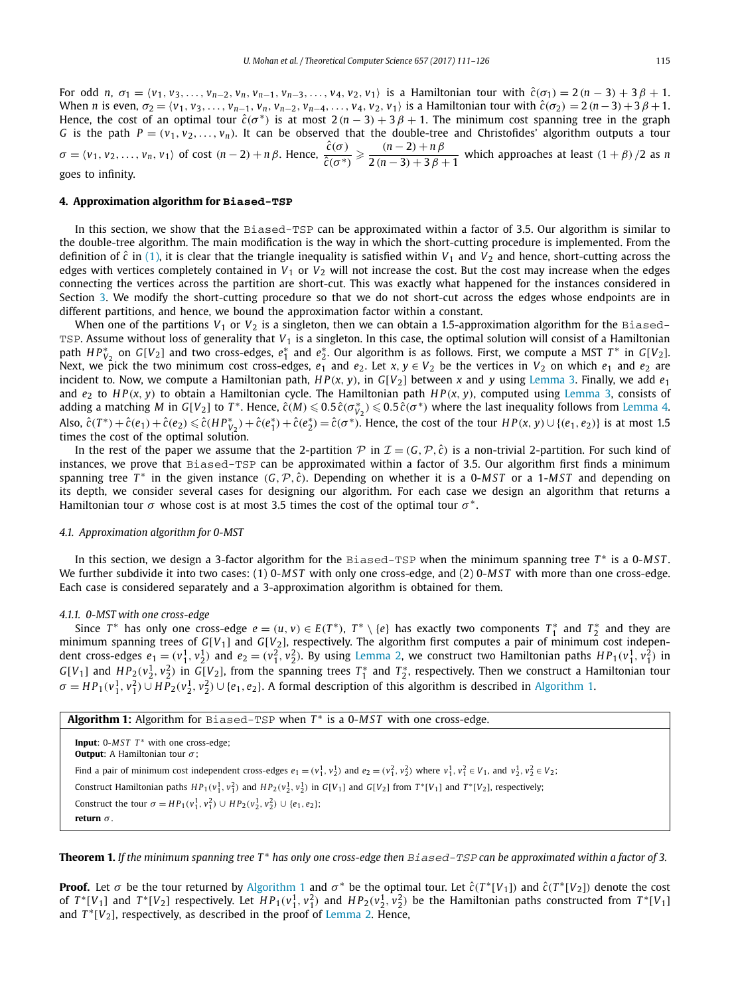For odd n,  $\sigma_1 = \langle v_1, v_3, \dots, v_{n-2}, v_n, v_{n-1}, v_{n-3}, \dots, v_4, v_2, v_1 \rangle$  is a Hamiltonian tour with  $\hat{c}(\sigma_1) = 2(n-3) + 3\beta + 1$ . When *n* is even,  $\sigma_2 = \langle v_1, v_3, \dots, v_{n-1}, v_n, v_{n-2}, v_{n-4}, \dots, v_4, v_2, v_1 \rangle$  is a Hamiltonian tour with  $\hat{c}(\sigma_2) = 2(n-3) + 3\beta + 1$ . Hence, the cost of an optimal tour  $\hat{c}(\sigma^*)$  is at most  $2(n-3)+3\beta+1$ . The minimum cost spanning tree in the graph *G* is the path  $P = (v_1, v_2, \ldots, v_n)$ . It can be observed that the double-tree and Christofides' algorithm outputs a tour  $\sigma = \langle v_1, v_2, \dots, v_n, v_1 \rangle$  of cost  $(n-2) + n\beta$ . Hence,  $\frac{\hat{c}(\sigma)}{\hat{c}(\sigma)}$  $\frac{\hat{c}(\sigma)}{\hat{c}(\sigma^*)} \geqslant \frac{(n-2)+n\,\beta}{2\,(n-3)+3\,\beta}$  $\frac{(n-2)+np}{2(n-3)+3p+1}$  which approaches at least  $(1+\beta)/2$  as *n* goes to infinity.

#### **4. Approximation algorithm for Biased-TSP**

In this section, we show that the Biased-TSP can be approximated within a factor of 3.5. Our algorithm is similar to the double-tree algorithm. The main modification is the way in which the short-cutting procedure is implemented. From the definition of  $\hat{c}$  in (1), it is clear that the triangle inequality is satisfied within  $V_1$  and  $V_2$  and hence, short-cutting across the edges with vertices completely contained in  $V_1$  or  $V_2$  will not increase the cost. But the cost may increase when the edges connecting the vertices across the partition are short-cut. This was exactly what happened for the instances considered in Section 3. We modify the short-cutting procedure so that we do not short-cut across the edges whose endpoints are in different partitions, and hence, we bound the approximation factor within a constant.

When one of the partitions  $V_1$  or  $V_2$  is a singleton, then we can obtain a 1.5-approximation algorithm for the Biased-TSP. Assume without loss of generality that *V*<sub>1</sub> is a singleton. In this case, the optimal solution will consist of a Hamiltonian path  $HP^*_{V_2}$  on  $G[V_2]$  and two cross-edges,  $e_1^*$  and  $e_2^*$ . Our algorithm is as follows. First, we compute a MST  $T^*$  in  $G[V_2]$ . Next, we pick the two minimum cost cross-edges,  $e_1$  and  $e_2$ . Let  $x, y \in V_2$  be the vertices in  $V_2$  on which  $e_1$  and  $e_2$  are incident to. Now, we compute a Hamiltonian path,  $HP(x, y)$ , in  $G[V_2]$  between *x* and *y* using Lemma 3. Finally, we add  $e_1$ and *e*<sup>2</sup> to *H P*(*x*, *y*) to obtain a Hamiltonian cycle. The Hamiltonian path *H P*(*x*, *y*), computed using Lemma 3, consists of adding a matching *M* in *G*[*V*<sub>2</sub>] to *T*<sup>\*</sup>. Hence,  $\hat{c}(M) \leqslant 0.5 \hat{c}(\sigma^*_{V_2}) \leqslant 0.5 \hat{c}(\sigma^*)$  where the last inequality follows from Lemma 4. Also,  $\hat{c}(T^*)+\hat{c}(e_1)+\hat{c}(e_2)\leq \hat{c}(HP_{V_2}^*)+\hat{c}(e_1^*)+\hat{c}(e_2^*)=\hat{c}(\sigma^*)$ . Hence, the cost of the tour  $HP(x, y)\cup \{(e_1, e_2)\}\)$  is at most 1.5 times the cost of the optimal solution.

In the rest of the paper we assume that the 2-partition  $P$  in  $\mathcal{I} = (G, \mathcal{P}, \hat{c})$  is a non-trivial 2-partition. For such kind of instances, we prove that Biased-TSP can be approximated within a factor of 3.5. Our algorithm first finds a minimum spanning tree *T*<sup>∗</sup> in the given instance (*G*,  $P$ ,  $\hat{c}$ ). Depending on whether it is a 0-MST or a 1-MST and depending on its depth, we consider several cases for designing our algorithm. For each case we design an algorithm that returns a Hamiltonian tour  $\sigma$  whose cost is at most 3.5 times the cost of the optimal tour  $\sigma^*$ .

### *4.1. Approximation algorithm for 0-MST*

In this section, we design a 3-factor algorithm for the Biased-TSP when the minimum spanning tree *T* ∗ is a 0-*MST* . We further subdivide it into two cases: (1) 0-*MST* with only one cross-edge, and (2) 0-*MST* with more than one cross-edge. Each case is considered separately and a 3-approximation algorithm is obtained for them.

# *4.1.1. 0-MST with one cross-edge*

Since  $T^*$  has only one cross-edge  $e = (u, v) \in E(T^*)$ ,  $T^* \setminus \{e\}$  has exactly two components  $T_1^*$  and  $T_2^*$  and they are minimum spanning trees of  $G[V_1]$  and  $G[V_2]$ , respectively. The algorithm first computes a pair of minimum cost indepen-<br>minimum spanning trees of  $G[V_1]$  and  $G[V_2]$ , respectively. The algorithm first computes a pair of dent cross-edges  $e_1=(v_1^1, v_2^1)$  and  $e_2=(v_1^2, v_2^2)$ . By using Lemma 2, we construct two Hamiltonian paths  $HP_1(v_1^1, v_1^2)$  in  $G[V_1]$  and  $HP_2(v_2^1, v_2^2)$  in  $G[V_2]$ , from the spanning trees  $T_1^*$  and  $T_2^*$ , respectively. Then we construct a Hamiltonian tour  $\sigma = HP_1(v_1^1, v_1^2) \cup HP_2(v_2^1, v_2^2) \cup \{e_1, e_2\}$ . A formal description of this algorithm is described in Algorithm 1.

| Algorithm 1: Algorithm for Biased-TSP when $T^*$ is a 0-MST with one cross-edge. |  |  |  |
|----------------------------------------------------------------------------------|--|--|--|
|                                                                                  |  |  |  |

**Input**: 0-*MST T*<sup>∗</sup> with one cross-edge; **Output**: A Hamiltonian tour σ ; Find a pair of minimum cost independent cross-edges  $e_1 = (v_1^1, v_2^1)$  and  $e_2 = (v_1^2, v_2^2)$  where  $v_1^1, v_1^2 \in V_1$ , and  $v_2^1, v_2^2 \in V_2$ ; Construct Hamiltonian paths  $HP_1(v_1^1, v_1^2)$  and  $HP_2(v_2^1, v_2^1)$  in  $G[V_1]$  and  $G[V_2]$  from  $T^*[V_1]$  and  $T^*[V_2]$ , respectively; Construct the tour  $\sigma = HP_1(v_1^1, v_1^2) \cup HP_2(v_2^1, v_2^2) \cup \{e_1, e_2\};$ **return** σ .

Theorem 1. If the minimum spanning tree T\* has only one cross-edge then Biased-TSP can be approximated within a factor of 3.

**Proof.** Let  $\sigma$  be the tour returned by Algorithm 1 and  $\sigma^*$  be the optimal tour. Let  $\hat{c}(T^*[V_1])$  and  $\hat{c}(T^*[V_2])$  denote the cost of  $T^*[V_1]$  and  $T^*[V_2]$  respectively. Let  $HP_1(v_1^1, v_1^2)$  and  $HP_2(v_2^1, v_2^2)$  be the Hamiltonian paths constructed from  $T^*[V_1]$ and *T* ∗ [*V*2], respectively, as described in the proof of Lemma 2. Hence,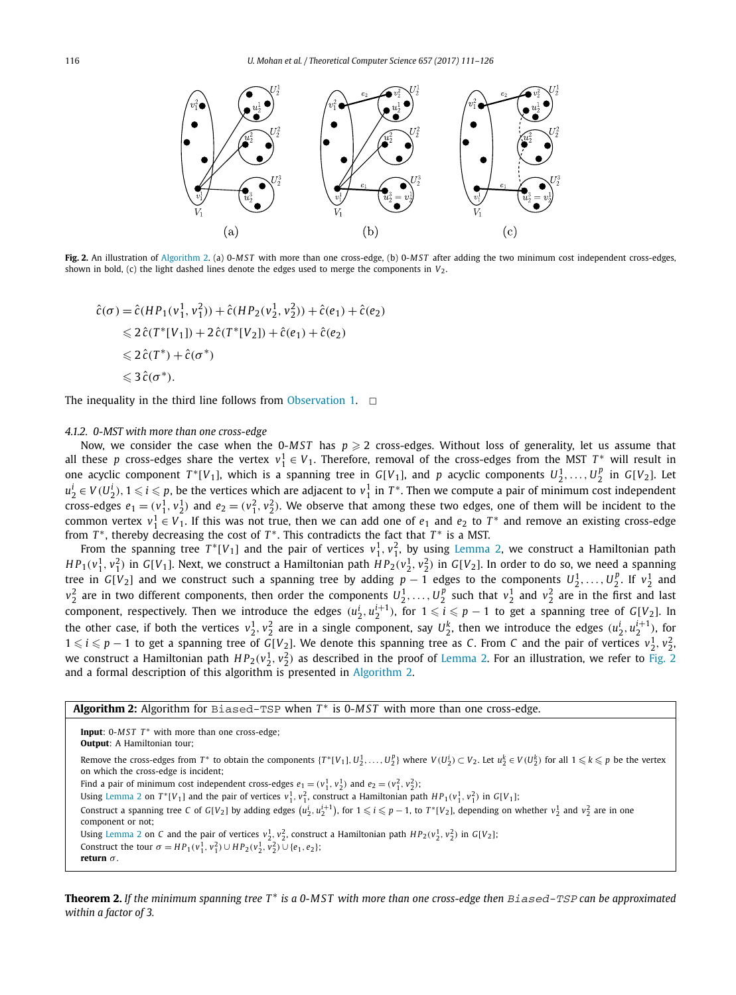

**Fig. 2.** An illustration of Algorithm 2. (a) 0-*MST* with more than one cross-edge, (b) 0-*MST* after adding the two minimum cost independent cross-edges, shown in bold, (c) the light dashed lines denote the edges used to merge the components in  $V_2$ .

$$
\hat{c}(\sigma) = \hat{c}(HP_1(v_1^1, v_1^2)) + \hat{c}(HP_2(v_2^1, v_2^2)) + \hat{c}(e_1) + \hat{c}(e_2)
$$
  
\$\leq \hat{c}(T^\*[V\_1]) + 2\hat{c}(T^\*[V\_2]) + \hat{c}(e\_1) + \hat{c}(e\_2)\$  
\$\leq \hat{c}(T^\*) + \hat{c}(\sigma^\*)\$  
\$\leq \hat{c}(\sigma^\*).

The inequality in the third line follows from Observation 1.  $\Box$ 

## *4.1.2. 0-MST with more than one cross-edge*

Now, we consider the case when the 0-MST has  $p \ge 2$  cross-edges. Without loss of generality, let us assume that all these *p* cross-edges share the vertex  $v_1^1 \in V_1$ . Therefore, removal of the cross-edges from the MST  $T^*$  will result in one acyclic component  $T^*[V_1]$ , which is a spanning tree in  $G[V_1]$ , and p acyclic components  $U_2^1,\ldots,U_2^p$  in  $G[V_2]$ . Let  $u_2^i \in V(U_2^i)$ ,  $1 \leqslant i \leqslant p$ , be the vertices which are adjacent to  $v_1^1$  in  $T^*$ . Then we compute a pair of minimum cost independent cross-edges  $e_1 = (v_1^1, v_2^1)$  and  $e_2 = (v_1^2, v_2^2)$ . We observe that among these two edges, one of them will be incident to the common vertex  $v_1^1 \in V_1$ . If this was not true, then we can add one of  $e_1$  and  $e_2$  to  $T^*$  and remove an existing cross-edge from *T*<sup>\*</sup>, thereby decreasing the cost of *T*<sup>\*</sup>. This contradicts the fact that *T*<sup>\*</sup> is a MST.

From the spanning tree  $T^*[V_1]$  and the pair of vertices  $v_1^1, v_1^2$ , by using Lemma 2, we construct a Hamiltonian path  $HP_1(v_1^1, v_1^2)$  in G[V<sub>1</sub>]. Next, we construct a Hamiltonian path  $HP_2(v_2^1, v_2^2)$  in G[V<sub>2</sub>]. In order to do so, we need a spanning tree in *G*[*V*<sub>2</sub>] and we construct such a spanning tree by adding  $p-1$  edges to the components  $U_2^1, \ldots, U_2^p$ . If  $v_2^1$  and  $v_2^2$  are in two different components, then order the components  $U_2^1,\ldots,U_2^p$  such that  $v_2^1$  and  $v_2^2$  are in the first and last component, respectively. Then we introduce the edges  $(u_2^i, u_2^{i+1})$ , for  $1 \leqslant i \leqslant p-1$  to get a spanning tree of *G*[*V*<sub>2</sub>]. In the other case, if both the vertices  $v_2^1, v_2^2$  are in a single component, say  $U_2^k$ , then we introduce the edges  $(u_2^i, u_2^{i+1})$ , for  $1 \leq i \leq p-1$  to get a spanning tree of *G*[*V*<sub>2</sub>]. We denote this spanning tree as *C*. From *C* and the pair of vertices  $v_2^1, v_2^2$ . we construct a Hamiltonian path  $HP_2(v_2^1, v_2^2)$  as described in the proof of Lemma 2. For an illustration, we refer to Fig. 2 and a formal description of this algorithm is presented in Algorithm 2.

# **Algorithm 2:** Algorithm for Biased-TSP when *T* ∗ is 0-*MST* with more than one cross-edge.

Input: 0-MST T<sup>\*</sup> with more than one cross-edge; **Output**: A Hamiltonian tour; Remove the cross-edges from  $T^*$  to obtain the components  $\{T^*[V_1], U_2^1, \ldots, U_2^p\}$  where  $V(U_2^i) \subset V_2$ . Let  $u_2^k \in V(U_2^k)$  for all  $1 \leqslant k \leqslant p$  be the vertex on which the cross-edge is incident; Find a pair of minimum cost independent cross-edges  $e_1 = (v_1^1, v_2^1)$  and  $e_2 = (v_1^2, v_2^2)$ ; Using Lemma 2 on  $T^*[V_1]$  and the pair of vertices  $v_1^1, v_1^2$ , construct a Hamiltonian path  $HP_1(v_1^1, v_1^2)$  in  $G[V_1]$ ; Construct a spanning tree C of G[V<sub>2</sub>] by adding edges  $(u_2^i, u_2^{i+1})$ , for  $1 \leqslant i \leqslant p-1$ , to  $T^*[V_2]$ , depending on whether  $v_2^1$  and  $v_2^2$  are in one component or not; Using Lemma 2 on *C* and the pair of vertices  $v_2^1, v_2^2$ , construct a Hamiltonian path  $HP_2(v_2^1, v_2^2)$  in  $G[V_2]$ ; Construct the tour  $\sigma = HP_1(v_1^1, v_1^2) \cup HP_2(v_2^1, v_2^2) \cup \{e_1, e_2\};$ **return** σ *.*

**Theorem 2.** If the minimum spanning tree  $T^*$  is a 0-MST with more than one cross-edge then  $Biased-TSP$  can be approximated *within a factor of 3.*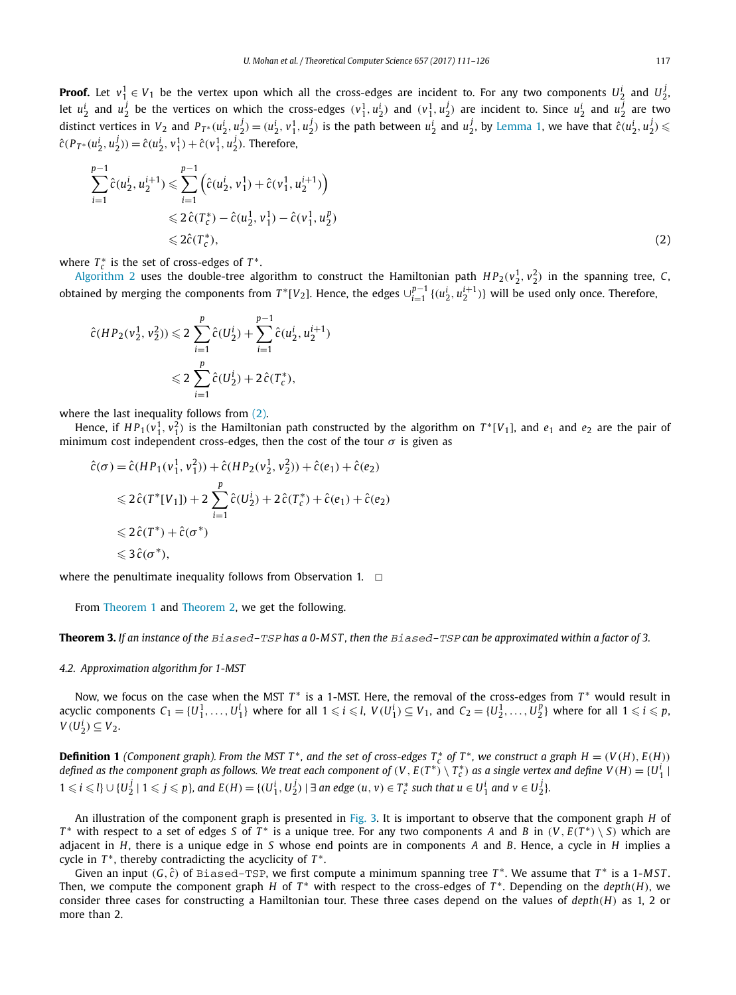**Proof.** Let  $v_1^1 \in V_1$  be the vertex upon which all the cross-edges are incident to. For any two components  $U_2^i$  and  $U_2^j$ . let  $u_2^i$  and  $u_2^j$  be the vertices on which the cross-edges  $(v_1^1, u_2^i)$  and  $(v_1^1, u_2^j)$  are incident to. Since  $u_2^i$  and  $u_2^j$  are two distinct vertices in  $V_2$  and  $P_{T^*}(u_2^i, u_2^j) = (u_2^i, v_1^1, u_2^j)$  is the path between  $u_2^i$  and  $u_2^j$ , by Lemma 1, we have that  $\hat{c}(u_2^i, u_2^j) \leq$  $\hat{c}(P_{T^*}(u_2^i, u_2^j)) = \hat{c}(u_2^i, v_1^1) + \hat{c}(v_1^1, u_2^j)$ . Therefore,

$$
\sum_{i=1}^{p-1} \hat{c}(u_2^i, u_2^{i+1}) \leq \sum_{i=1}^{p-1} \left( \hat{c}(u_2^i, v_1^1) + \hat{c}(v_1^1, u_2^{i+1}) \right)
$$
  

$$
\leq 2 \hat{c}(T_c^*) - \hat{c}(u_2^1, v_1^1) - \hat{c}(v_1^1, u_2^p)
$$
  

$$
\leq 2 \hat{c}(T_c^*),
$$
 (2)

where  $T_c^*$  is the set of cross-edges of  $T^*$ .

Algorithm 2 uses the double-tree algorithm to construct the Hamiltonian path  $HP_2(v_2^1, v_2^2)$  in the spanning tree, *C*, obtained by merging the components from  $T^*[V_2]$ . Hence, the edges  $\cup_{i=1}^{p-1}\{(u_2^i,u_2^{i+1})\}$  will be used only once. Therefore,

$$
\hat{c}(HP_2(v_2^1, v_2^2)) \leq 2 \sum_{i=1}^p \hat{c}(U_2^i) + \sum_{i=1}^{p-1} \hat{c}(u_2^i, u_2^{i+1})
$$
  

$$
\leq 2 \sum_{i=1}^p \hat{c}(U_2^i) + 2\hat{c}(T_c^*),
$$

where the last inequality follows from  $(2)$ .

Hence, if  $HP_1(v_1^1, v_1^2)$  is the Hamiltonian path constructed by the algorithm on  $T^*[V_1]$ , and  $e_1$  and  $e_2$  are the pair of minimum cost independent cross-edges, then the cost of the tour  $\sigma$  is given as

$$
\hat{c}(\sigma) = \hat{c}(HP_1(v_1^1, v_1^2)) + \hat{c}(HP_2(v_2^1, v_2^2)) + \hat{c}(e_1) + \hat{c}(e_2)
$$
  

$$
\leq 2\hat{c}(T^*[V_1]) + 2\sum_{i=1}^p \hat{c}(U_2^i) + 2\hat{c}(T_c^*) + \hat{c}(e_1) + \hat{c}(e_2)
$$
  

$$
\leq 2\hat{c}(T^*) + \hat{c}(\sigma^*)
$$
  

$$
\leq 3\hat{c}(\sigma^*),
$$

where the penultimate inequality follows from Observation 1.  $\Box$ 

From Theorem 1 and Theorem 2, we get the following.

**Theorem 3.** If an instance of the Biased-TSP has a 0-MST, then the Biased-TSP can be approximated within a factor of 3.

# *4.2. Approximation algorithm for 1-MST*

Now, we focus on the case when the MST *T*<sup>\*</sup> is a 1-MST. Here, the removal of the cross-edges from *T*<sup>\*</sup> would result in acyclic components  $C_1 = \{U_1^1, \ldots, U_1^l\}$  where for all  $1 \leq i \leq l$ ,  $V(U_1^i) \subseteq V_1$ , and  $C_2 = \{U_2^1, \ldots, U_2^p\}$  where for all  $1 \leq i \leq p$ ,  $V(U_2^i) \subseteq V_2$ .

**Definition 1** (Component graph). From the MST T\*, and the set of cross-edges  $T_c^*$  of T\*, we construct a graph  $H = (V(H), E(H))$ defined as the component graph as follows. We treat each component of (V , E(T\*)  $\setminus T_c^*$ ) as a single vertex and define V(H) = {U $_1^i$  |  $1\leqslant i\leqslant l\}\cup\{U_{2}^{j}\mid 1\leqslant j\leqslant p\},$  and  $E(H)=\{(U_{1}^{i},U_{2}^{j})\mid \exists\text{ an edge }(u,v)\in T_{c}^{*}\text{ such that }u\in U_{1}^{i}\text{ and }v\in U_{2}^{j}\}.$ 

An illustration of the component graph is presented in Fig. 3. It is important to observe that the component graph *H* of *T*<sup>\*</sup> with respect to a set of edges *S* of *T*<sup>\*</sup> is a unique tree. For any two components *A* and *B* in  $(V, E(T^*) \setminus S)$  which are adjacent in *H*, there is a unique edge in *S* whose end points are in components *A* and *B*. Hence, a cycle in *H* implies a cycle in *T*<sup>∗</sup>, thereby contradicting the acyclicity of *T*<sup>∗</sup>.

Given an input  $(G, \hat{c})$  of Biased-TSP, we first compute a minimum spanning tree  $T^*$ . We assume that  $T^*$  is a 1-MST. Then, we compute the component graph *H* of  $T^*$  with respect to the cross-edges of  $T^*$ . Depending on the *depth*(*H*), we consider three cases for constructing a Hamiltonian tour. These three cases depend on the values of *depth*(*H*) as 1, 2 or more than 2.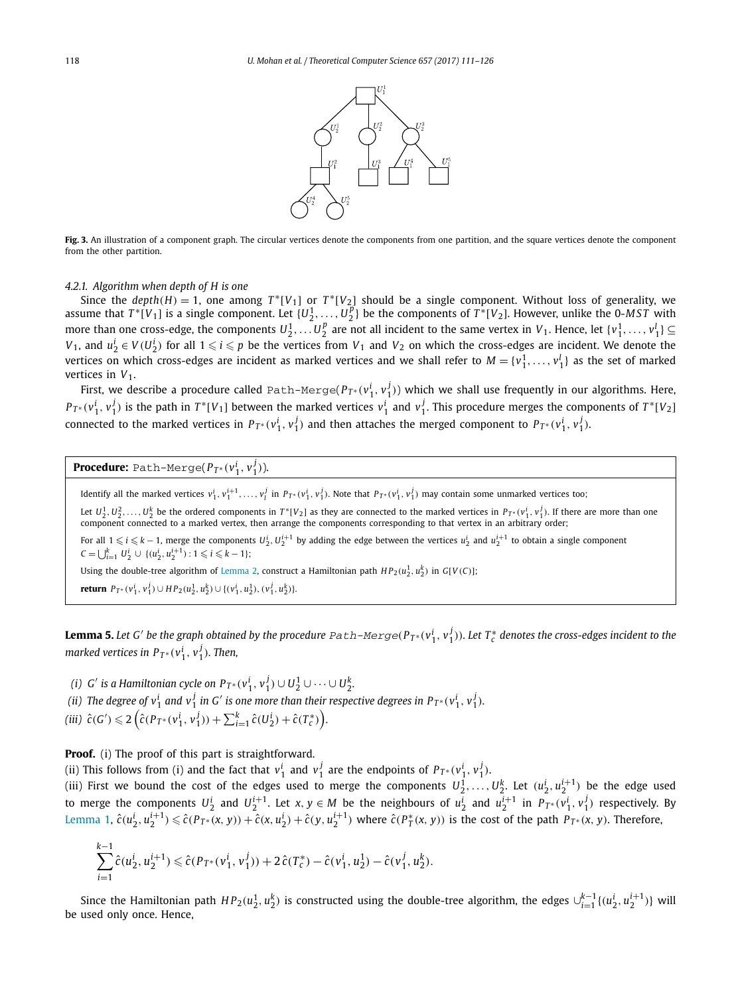

**Fig. 3.** An illustration of a component graph. The circular vertices denote the components from one partition, and the square vertices denote the component from the other partition.

## *4.2.1. Algorithm when depth of H is one*

Since the *depth*(*H*) = 1, one among  $T^*[V_1]$  or  $T^*[V_2]$  should be a single component. Without loss of generality, we assume that  $T^*[V_1]$  is a single component. Let  $\{U_2^1,\ldots,U_2^p\}$  be the components of  $T^*[V_2]$ . However, unlike the 0-*MST* with assume than one cross-edge, the components  $U_1^1, \ldots, U_2^p$  are not all incident to the same vertex in  $V_1$ . Hence, let  $\{v_1^1, \ldots, v_1^l\} \subseteq$ *V*<sub>1</sub>, and  $u_2^i \in V(U_2^i)$  for all  $1 \leq i \leq p$  be the vertices from *V*<sub>1</sub> and *V*<sub>2</sub> on which the cross-edges are incident. We denote the vertices on which cross-edges are incident as marked vertices and we shall refer to  $M = \{v_1^1,\ldots,v_1^l\}$  as the set of marked vertices in  $V_1$ .

First, we describe a procedure called Path-Merge( $P_{T^*}(v_1^i, v_1^j)$ ) which we shall use frequently in our algorithms. Here,  $P_{T^*}(v_1^i, v_1^j)$  is the path in  $T^*[V_1]$  between the marked vertices  $v_1^i$  and  $v_1^j$ . This procedure merges the components of  $T^*[V_2]$ connected to the marked vertices in  $P_{T^*}(v_1^i, v_1^j)$  and then attaches the merged component to  $P_{T^*}(v_1^i, v_1^j)$ .

**Procedure:** Path-Merge $(P_{T^*}(v_1^i, v_1^j)).$ 

Identify all the marked vertices  $v_1^i, v_1^{i+1}, \ldots, v_l^j$  in  $P_{T^*}(v_1^i, v_1^j)$ . Note that  $P_{T^*}(v_1^i, v_1^j)$  may contain some unmarked vertices too;

*.*

Let  $U_2^1, U_2^2, \ldots, U_2^k$  be the ordered components in  $T^*[V_2]$  as they are connected to the marked vertices in  $P_{T^*}(v_1^i, v_1^j)$ . If there are more than one component connected to a marked vertex, then arrange the components corresponding to that vertex in an arbitrary order;

For all  $1 \le i \le k-1$ , merge the components  $U_2^i, U_2^{i+1}$  by adding the edge between the vertices  $u_2^i$  and  $u_2^{i+1}$  to obtain a single component  $C = \bigcup_{i=1}^{k} U_2^i \cup \{(u_2^i, u_2^{i+1}) : 1 \leq i \leq k-1\};\$ 

Using the double-tree algorithm of Lemma 2, construct a Hamiltonian path  $HP_2(u_2^1, u_2^k)$  in  $G[V(C)]$ ;

**return**  $P_{T^*}(v_1^i, v_1^j) \cup HP_2(u_2^1, u_2^k) \cup \{(v_1^i, u_2^1), (v_1^j, u_2^k)\}.$ 

**Lemma 5.** Let G' be the graph obtained by the procedure  $Path\text{-}Merge(P_{T^*}(v_1^i,v_1^j))$ . Let  $T^*_c$  denotes the cross-edges incident to the *marked vertices in*  $P_{T^*}(v_1^i, v_1^j)$ *. Then,* 

(i) G' is a Hamiltonian cycle on  $P_{T^*}(v_1^i, v_1^j) \cup U_2^1 \cup \cdots \cup U_2^k$ .

(ii) The degree of  $v_1^i$  and  $v_1^j$  in G' is one more than their respective degrees in  $P_{T^*}(v_1^i, v_1^j)$ .

$$
(iii) \ \hat{c}(G') \leq 2\left(\hat{c}(P_{T^*}(v_1^i, v_1^j)) + \sum_{i=1}^k \hat{c}(U_2^i) + \hat{c}(T_c^*)\right)
$$

Proof. (i) The proof of this part is straightforward.

(ii) This follows from (i) and the fact that  $v_1^i$  and  $v_1^j$  are the endpoints of  $P_{T^*}(v_1^i, v_1^j)$ .

(iii) First we bound the cost of the edges used to merge the components  $U_2^1,\ldots,U_2^k$ . Let  $(u_2^i,u_2^{i+1})$  be the edge used to merge the components  $U_2^i$  and  $U_2^{i+1}$ . Let  $x, y \in M$  be the neighbours of  $u_2^i$  and  $u_2^{i+1}$  in  $P_{T^*}(v_1^i, v_1^j)$  respectively. By Lemma 1,  $\hat{c}(u_2^i, u_2^{i+1}) \leq \hat{c}(P_{T^*}(x, y)) + \hat{c}(x, u_2^i) + \hat{c}(y, u_2^{i+1})$  where  $\hat{c}(P_T^*(x, y))$  is the cost of the path  $P_{T^*}(x, y)$ . Therefore,

$$
\sum_{i=1}^{k-1} \hat{c}(u_2^i, u_2^{i+1}) \leq \hat{c}(P_{T^*}(v_1^i, v_1^j)) + 2\hat{c}(T_c^*) - \hat{c}(v_1^i, u_2^1) - \hat{c}(v_1^j, u_2^k).
$$

Since the Hamiltonian path  $HP_2(u_1^1, u_2^k)$  is constructed using the double-tree algorithm, the edges  $\cup_{i=1}^{k-1}\{(u_2^i, u_2^{i+1})\}$  will be used only once. Hence,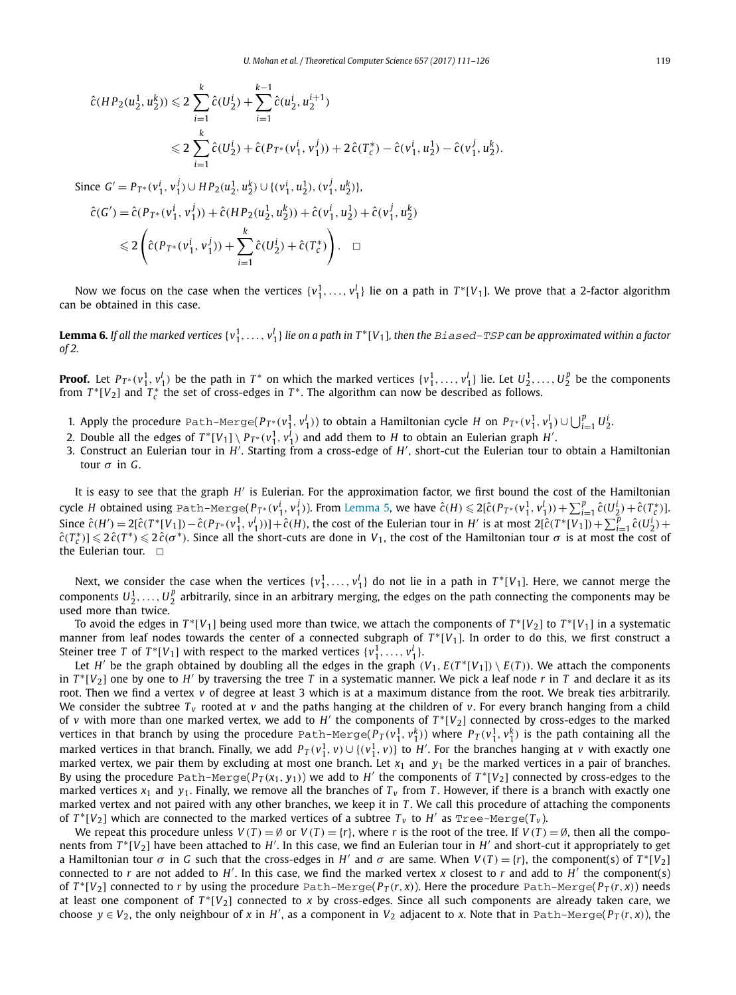$$
\hat{c}(HP_2(u_2^1, u_2^k)) \leq 2 \sum_{i=1}^k \hat{c}(U_2^i) + \sum_{i=1}^{k-1} \hat{c}(u_2^i, u_2^{i+1})
$$
  

$$
\leq 2 \sum_{i=1}^k \hat{c}(U_2^i) + \hat{c}(P_{T^*}(v_1^i, v_1^j)) + 2\hat{c}(T_c^*) - \hat{c}(v_1^i, u_2^1) - \hat{c}(v_1^j, u_2^k).
$$

Since  $G' = P_{T^*}(v_1^i, v_1^j) \cup HP_2(u_2^1, u_2^k) \cup \{(v_1^i, u_2^1), (v_1^j, u_2^k)\},$ 

$$
\hat{c}(G') = \hat{c}(P_{T^*}(v_1^i, v_1^j)) + \hat{c}(HP_2(u_2^1, u_2^k)) + \hat{c}(v_1^i, u_2^1) + \hat{c}(v_1^i, u_2^k)
$$
  

$$
\leq 2\left(\hat{c}(P_{T^*}(v_1^i, v_1^j)) + \sum_{i=1}^k \hat{c}(U_2^i) + \hat{c}(T_c^*)\right). \quad \Box
$$

Now we focus on the case when the vertices  $\{v_1^1,\ldots,v_1^l\}$  lie on a path in  $T^*[V_1]$ . We prove that a 2-factor algorithm can be obtained in this case.

**Lemma 6.** If all the marked vertices {  $v_1^1,\ldots,v_1^l$  } lie on a path in T\*[V<sub>1</sub>], then the Biased-TSP can be approximated within a factor *of 2.*

**Proof.** Let  $P_{T^*}(v_1^1, v_1^1)$  be the path in  $T^*$  on which the marked vertices  $\{v_1^1, \ldots, v_1^l\}$  lie. Let  $U_2^1, \ldots, U_2^p$  be the components from  $T^*[V_2]$  and  $T_c^*$  the set of cross-edges in  $T^*$ . The algorithm can now be described as follows.

- 1. Apply the procedure Path-Merge( $P_{T^*}(v_1^1, v_1^1)$ ) to obtain a Hamiltonian cycle H on  $P_{T^*}(v_1^1, v_1^1) \cup \bigcup_{i=1}^p U_2^i$ .
- 2. Double all the edges of  $T^*[V_1] \setminus P_{T^*}(v_1^1, v_1^l)$  and add them to  $H$  to obtain an Eulerian graph  $H'$ .
- 3. Construct an Eulerian tour in *H'*. Starting from a cross-edge of *H'*, short-cut the Eulerian tour to obtain a Hamiltonian tour σ in *G*.

It is easy to see that the graph *H'* is Eulerian. For the approximation factor, we first bound the cost of the Hamiltonian cycle H obtained using <code>Path–Merge(P<sub>T\*</sub>(vi<sub>1</sub>, v<sup>i</sup><sub>1</sub>)). From Lemma 5, we have  $\hat{c}(H) \leqslant 2[\hat{c}(P_{T^*}(v_1^1,v_1^1))+\sum_{i=1}^p\hat{c}(U_2^i)+\hat{c}(T_c^*)]$ .</code> Since  $\hat{c}(H') = 2[\hat{c}(T^*[V_1]) - \hat{c}(P_{T^*}(v_1^1, v_1^1))] + \hat{c}(H)$ , the cost of the Eulerian tour in H' is at most  $2[\hat{c}(T^*[V_1]) + \sum_{i=1}^p \hat{c}(U_2^i) +$  $\hat{c}(T_c^*)\leqslant 2\hat{c}(T^*)\leqslant 2\hat{c}(\sigma^*)$ . Since all the short-cuts are done in *V*<sub>1</sub>, the cost of the Hamiltonian tour  $\sigma$  is at most the cost of the Eulerian tour.  $\Box$ 

Next, we consider the case when the vertices  $\{v_1^1,\ldots,v_1^l\}$  do not lie in a path in  $T^*[V_1]$ . Here, we cannot merge the components  $U_2^1,\ldots,U_2^p$  arbitrarily, since in an arbitrary merging, the edges on the path connecting the components may be used more than twice.

To avoid the edges in  $T^*[V_1]$  being used more than twice, we attach the components of  $T^*[V_2]$  to  $T^*[V_1]$  in a systematic manner from leaf nodes towards the center of a connected subgraph of  $T^*[V_1]$ . In order to do this, we first construct a Steiner tree *T* of  $T^*[V_1]$  with respect to the marked vertices  $\{v_1^1, \ldots, v_1^l\}$ .

Let  $H'$  be the graph obtained by doubling all the edges in the graph  $(V_1,E(T^*[V_1])\setminus E(T))$ . We attach the components in  $T^*[V_2]$  one by one to  $H'$  by traversing the tree  $T$  in a systematic manner. We pick a leaf node  $r$  in  $T$  and declare it as its root. Then we find a vertex *v* of degree at least 3 which is at a maximum distance from the root. We break ties arbitrarily. We consider the subtree  $T_v$  rooted at  $v$  and the paths hanging at the children of  $v$ . For every branch hanging from a child of *v* with more than one marked vertex, we add to H' the components of  $T^*[V_2]$  connected by cross-edges to the marked vertices in that branch by using the procedure  $Path\text{-}Merge(P_T(v_1^1,v_1^k))$  where  $P_T(v_1^1,v_1^k)$  is the path containing all the marked vertices in that branch. Finally, we add  $P_T(v_1^1, v) \cup \{(v_1^1, v)\}$  to  $H'$ . For the branches hanging at *v* with exactly one marked vertex, we pair them by excluding at most one branch. Let  $x_1$  and  $y_1$  be the marked vertices in a pair of branches. By using the procedure Path-Merge( $P_T(x_1, y_1)$ ) we add to  $H'$  the components of  $T^*[V_2]$  connected by cross-edges to the marked vertices  $x_1$  and  $y_1$ . Finally, we remove all the branches of  $T_y$  from *T*. However, if there is a branch with exactly one marked vertex and not paired with any other branches, we keep it in *T* . We call this procedure of attaching the components of  $T^*[V_2]$  which are connected to the marked vertices of a subtree  $T_v$  to  $H'$  as  $\text{Tree-Merge}(T_v)$ .

We repeat this procedure unless  $V(T) = \emptyset$  or  $V(T) = \{r\}$ , where *r* is the root of the tree. If  $V(T) = \emptyset$ , then all the components from  $T^*[V_2]$  have been attached to H'. In this case, we find an Eulerian tour in H' and short-cut it appropriately to get a Hamiltonian tour  $\sigma$  in *G* such that the cross-edges in *H'* and  $\sigma$  are same. When  $V(T) = \{r\}$ , the component(s) of  $T^*[V_2]$ connected to *r* are not added to  $H'$ . In this case, we find the marked vertex *x* closest to *r* and add to  $H'$  the component(s) of  $T^*[V_2]$  connected to  $r$  by using the procedure  $Path-Merge(P_T(r,x))$ . Here the procedure  $Path-Merge(P_T(r,x))$  needs at least one component of  $T^*[V_2]$  connected to x by cross-edges. Since all such components are already taken care, we choose  $y \in V_2$ , the only neighbour of *x* in *H'*, as a component in  $V_2$  adjacent to *x*. Note that in Path-Merge( $P_T(r, x)$ ), the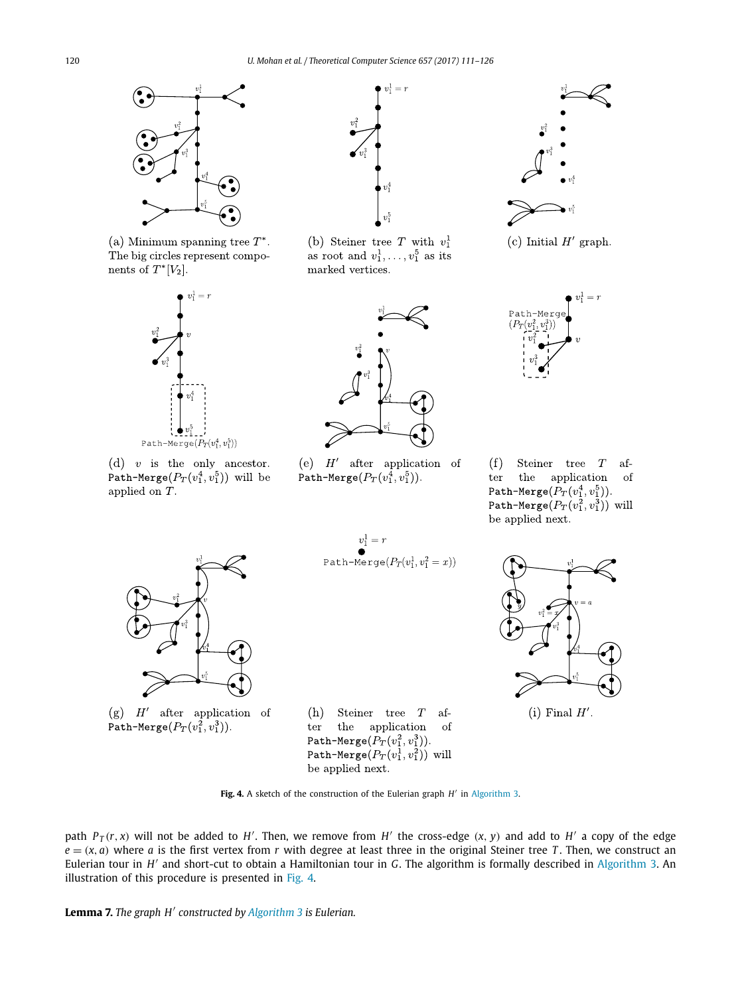

(a) Minimum spanning tree  $T^*$ . The big circles represent components of  $T^*[V_2]$ .



(d)  $v$  is the only ancestor. Path-Merge $(P_T(v_1^4, v_1^5))$  will be applied on  $T$ .



(b) Steiner tree T with  $v_1^1$ as root and  $v_1^1, \ldots, v_1^5$  as its marked vertices.



(c) Initial  $H'$  graph.



 $(f)$ Steiner tree $\mathcal T$ afthe application ter - of Path-Merge $(P_T(v_1^4, v_1^5))$ . Path-Merge $(P_T(v_1^2, v_1^3))$  will be applied next.



(g)  $H'$  after application of Path-Merge $(P_T(v_1^2, v_1^3))$ .

Path-Merge $(P_T(v_1^1, v_1^2 = x))$ 

(e)  $H'$  after application of

Path-Merge $(P_T(v_1^4, v_1^5))$ .

Steiner tree  $T$  af-(h) the application <sub>of</sub> ter Path-Merge $(P_T(v_1^2, v_1^3)).$ Path-Merge $(P_T(v_1^1, v_1^2))$  will be applied next.



(i) Final  $H'$ .

Fig. 4. A sketch of the construction of the Eulerian graph *H'* in Algorithm 3.

path  $P_T(r, x)$  will not be added to H'. Then, we remove from H' the cross-edge  $(x, y)$  and add to H' a copy of the edge  $e = (x, a)$  where *a* is the first vertex from *r* with degree at least three in the original Steiner tree *T*. Then, we construct an Eulerian tour in *H'* and short-cut to obtain a Hamiltonian tour in *G*. The algorithm is formally described in Algorithm 3. An illustration of this procedure is presented in Fig. 4.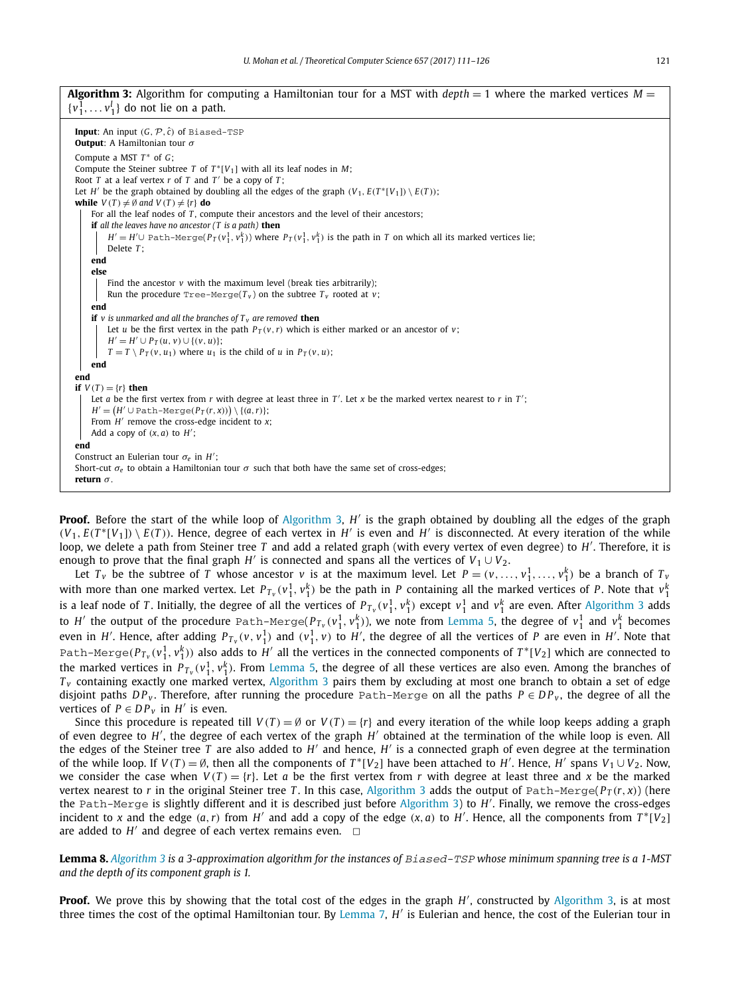**Algorithm 3:** Algorithm for computing a Hamiltonian tour for a MST with  $depth = 1$  where the marked vertices  $M =$  $\{v_1^1, \ldots v_1^l\}$  do not lie on a path.

**Input:** An input  $(G, \mathcal{P}, \hat{c})$  of Biased-TSP **Output**: A Hamiltonian tour σ Compute a MST *T* <sup>∗</sup> of *G*; Compute the Steiner subtree *T* of  $T^*[V_1]$  with all its leaf nodes in *M*; Root *T* at a leaf vertex *r* of *T* and *T* ′ be a copy of *T* ; Let *H'* be the graph obtained by doubling all the edges of the graph  $(V_1, E(T^*[V_1]) \setminus E(T))$ ; **while**  $V(T) \neq \emptyset$  and  $V(T) \neq \{r\}$  **do** For all the leaf nodes of *T*, compute their ancestors and the level of their ancestors; **if** *all the leaves have no ancestor (T is a path)* **then** *H'* = *H'*∪ Path-Merge( $P_T(v_1^1, v_1^k)$ ) where  $P_T(v_1^1, v_1^k)$  is the path in *T* on which all its marked vertices lie; Delete *T* ; **end else** Find the ancestor *v* with the maximum level (break ties arbitrarily); Run the procedure  $Tree-Merge(T_v)$  on the subtree  $T_v$  rooted at  $v$ ; **end if** *v is unmarked and all the branches of T <sup>v</sup> are removed* **then** Let *u* be the first vertex in the path  $P_T(v, r)$  which is either marked or an ancestor of *v*; *H*<sup> $′$ </sup> = *H*<sup> $′$ </sup> ∪ *P*<sub>*T*</sub>(*u*, *v*) ∪ {(*v*, *u*)};  $T = T \setminus P_T(v, u_1)$  where  $u_1$  is the child of *u* in  $P_T(v, u)$ ; **end end if**  $V(T) = \{r\}$  **then** Let *a* be the first vertex from *r* with degree at least three in  $T'$ . Let *x* be the marked vertex nearest to *r* in  $T'$ ;  $H' = (H' \cup \text{Path-Merge}(P_T(r,x))) \setminus \{(a,r)\};$ From  $H'$  remove the cross-edge incident to *x*; Add a copy of  $(x, a)$  to  $H'$ ; **end** Construct an Eulerian tour σ*<sup>e</sup>* in *H* ′ ; Short-cut  $\sigma_e$  to obtain a Hamiltonian tour  $\sigma$  such that both have the same set of cross-edges; **return** σ *.*

**Proof.** Before the start of the while loop of Algorithm 3, *H'* is the graph obtained by doubling all the edges of the graph  $(V_1, E(T^*[V_1]) \setminus E(T))$ . Hence, degree of each vertex in *H'* is even and *H'* is disconnected. At every iteration of the while loop, we delete a path from Steiner tree *T* and add a related graph (with every vertex of even degree) to *H'*. Therefore, it is enough to prove that the final graph  $H'$  is connected and spans all the vertices of  $V_1 \cup V_2$ .

Let  $T_v$  be the subtree of *T* whose ancestor *v* is at the maximum level. Let  $P = (v, \ldots, v_1^1, \ldots, v_1^k)$  be a branch of  $T_v$ with more than one marked vertex. Let  $P_{T_v}(v_1^1, v_1^k)$  be the path in *P* containing all the marked vertices of *P*. Note that  $v_1^k$ is a leaf node of *T*. Initially, the degree of all the vertices of  $P_{T_v}(v_1^1,v_1^k)$  except  $v_1^1$  and  $v_1^k$  are even. After Algorithm 3 adds to  $H'$  the output of the procedure <code>Path-Merge( $P_{T_v}(v_1^1,v_1^k)$ ), we note from Lemma 5, the degree of  $v_1^1$  and  $v_1^k$  becomes</code> even in *H'*. Hence, after adding  $P_{T_v}(v,v_1^1)$  and  $(v_1^1,v)$  to *H'*, the degree of all the vertices of *P* are even in *H'*. Note that Path–Merge $(P_{T_v}(v_1^1,v_1^k))$  also adds to  $H'$  all the vertices in the connected components of  $T^*[V_2]$  which are connected to the marked vertices in  $P_{T_v}(v_1^1,v_1^k)$ . From Lemma 5, the degree of all these vertices are also even. Among the branches of *T<sub>v</sub>* containing exactly one marked vertex, Algorithm 3 pairs them by excluding at most one branch to obtain a set of edge disjoint paths  $DP_v$ . Therefore, after running the procedure Path-Merge on all the paths  $P \in DP_v$ , the degree of all the vertices of  $P \in DP_{\nu}$  in  $H'$  is even.

Since this procedure is repeated till  $V(T) = \emptyset$  or  $V(T) = \{r\}$  and every iteration of the while loop keeps adding a graph of even degree to *H'*, the degree of each vertex of the graph *H'* obtained at the termination of the while loop is even. All the edges of the Steiner tree *T* are also added to *H* ′ and hence, *H* ′ is a connected graph of even degree at the termination of the while loop. If  $V(T) = \emptyset$ , then all the components of  $T^*[V_2]$  have been attached to H'. Hence, H' spans  $V_1 \cup V_2$ . Now, we consider the case when  $V(T) = \{r\}$ . Let *a* be the first vertex from *r* with degree at least three and *x* be the marked vertex nearest to *r* in the original Steiner tree *T*. In this case, Algorithm 3 adds the output of Path-Merge( $P_T(r, x)$ ) (here the Path-Merge is slightly different and it is described just before Algorithm 3) to *H* ′ . Finally, we remove the cross-edges incident to *x* and the edge  $(a, r)$  from *H'* and add a copy of the edge  $(x, a)$  to *H'*. Hence, all the components from  $T^*[V_2]$ are added to  $H'$  and degree of each vertex remains even.  $\Box$ 

Lemma 8. Algorithm 3 is a 3-approximation algorithm for the instances of Biased-TSP whose minimum spanning tree is a 1-MST *and the depth of its component graph is 1.*

**Proof.** We prove this by showing that the total cost of the edges in the graph H', constructed by Algorithm 3, is at most three times the cost of the optimal Hamiltonian tour. By Lemma 7, *H'* is Eulerian and hence, the cost of the Eulerian tour in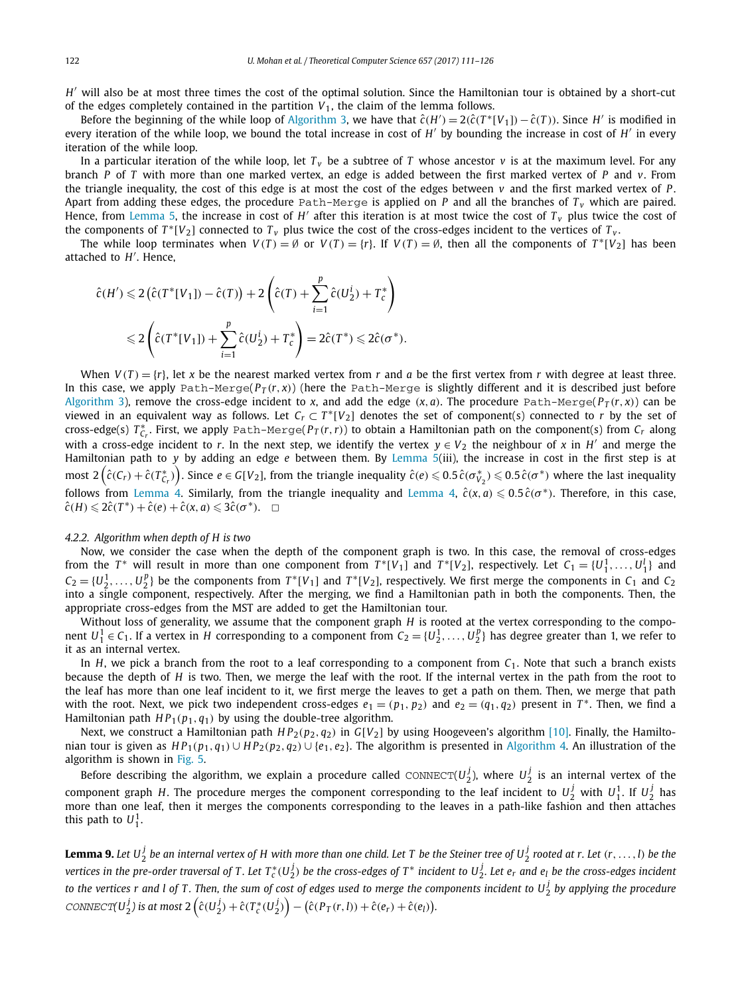*H* ′ will also be at most three times the cost of the optimal solution. Since the Hamiltonian tour is obtained by a short-cut of the edges completely contained in the partition  $V_1$ , the claim of the lemma follows.

Before the beginning of the while loop of Algorithm 3, we have that  $\hat{c}(H') = 2(\hat{c}(T^*[V_1]) - \hat{c}(T))$ . Since *H'* is modified in every iteration of the while loop, we bound the total increase in cost of *H'* by bounding the increase in cost of *H'* in every iteration of the while loop.

In a particular iteration of the while loop, let  $T_v$  be a subtree of *T* whose ancestor *v* is at the maximum level. For any branch *P* of *T* with more than one marked vertex, an edge is added between the first marked vertex of *P* and *v*. From the triangle inequality, the cost of this edge is at most the cost of the edges between *v* and the first marked vertex of *P* . Apart from adding these edges, the procedure Path-Merge is applied on *P* and all the branches of  $T_v$  which are paired. Hence, from Lemma 5, the increase in cost of  $H'$  after this iteration is at most twice the cost of  $T_v$  plus twice the cost of the components of  $T^*[V_2]$  connected to  $T_\nu$  plus twice the cost of the cross-edges incident to the vertices of  $T_\nu$ .

The while loop terminates when  $V(T) = \emptyset$  or  $V(T) = \{r\}$ . If  $V(T) = \emptyset$ , then all the components of  $T^*[V_2]$  has been attached to *H* ′ . Hence,

$$
\hat{c}(H') \leq 2\left(\hat{c}(T^*[V_1]) - \hat{c}(T)\right) + 2\left(\hat{c}(T) + \sum_{i=1}^p \hat{c}(U_2^i) + T_c^*\right)
$$
  

$$
\leq 2\left(\hat{c}(T^*[V_1]) + \sum_{i=1}^p \hat{c}(U_2^i) + T_c^*\right) = 2\hat{c}(T^*) \leq 2\hat{c}(\sigma^*).
$$

When  $V(T) = {r}$ , let *x* be the nearest marked vertex from *r* and *a* be the first vertex from *r* with degree at least three. In this case, we apply Path-Merge( $P_T(r, x)$ ) (here the Path-Merge is slightly different and it is described just before Algorithm 3), remove the cross-edge incident to *x*, and add the edge  $(x, a)$ . The procedure Path-Merge( $P_T(r, x)$ ) can be viewed in an equivalent way as follows. Let  $C_r \subset T^*[V_2]$  denotes the set of component(s) connected to *r* by the set of cross-edge(s) *T* ∗ *Cr* . First, we apply Path-Merge(*P<sup>T</sup>* (*r*,*r*)) to obtain a Hamiltonian path on the component(s) from *C<sup>r</sup>* along with a cross-edge incident to *r*. In the next step, we identify the vertex  $y \in V_2$  the neighbour of x in H' and merge the Hamiltonian path to *y* by adding an edge *e* between them. By Lemma 5(iii), the increase in cost in the first step is at most  $2\left(\hat{c}(C_r)+\hat{c}(T^*_{C_r})\right)$ . Since  $e\in G[V_2]$ , from the triangle inequality  $\hat{c}(e)\leqslant 0.5\,\hat{c}(\sigma^*_{V_2})\leqslant 0.5\,\hat{c}(\sigma^*)$  where the last inequality follows from Lemma 4. Similarly, from the triangle inequality and Lemma 4,  $\hat{c}(x, a) \leq 0.5 \hat{c}(\sigma^*)$ . Therefore, in this case,  $\hat{c}(H) \leq 2\hat{c}(T^*) + \hat{c}(e) + \hat{c}(x,a) \leq 3\hat{c}(\sigma^*)$ .  $\Box$ 

# *4.2.2. Algorithm when depth of H is two*

Now, we consider the case when the depth of the component graph is two. In this case, the removal of cross-edges from the *T*<sup>\*</sup> will result in more than one component from  $T^*[V_1]$  and  $T^*[V_2]$ , respectively. Let  $C_1 = \{U_1^1, \ldots, U_1^l\}$  and  $C_2 = \{U_2^1, \ldots, U_2^p\}$  be the components from  $T^*[V_1]$  and  $T^*[V_2]$ , respectively. We first merge the components in  $C_1$  and  $C_2$ into a single component, respectively. After the merging, we find a Hamiltonian path in both the components. Then, the appropriate cross-edges from the MST are added to get the Hamiltonian tour.

Without loss of generality, we assume that the component graph *H* is rooted at the vertex corresponding to the component  $U_1^1 \in C_1$ . If a vertex in *H* corresponding to a component from  $C_2 = \{U_2^1, \ldots, U_2^p\}$  has degree greater than 1, we refer to it as an internal vertex.

In *H*, we pick a branch from the root to a leaf corresponding to a component from  $C_1$ . Note that such a branch exists because the depth of *H* is two. Then, we merge the leaf with the root. If the internal vertex in the path from the root to the leaf has more than one leaf incident to it, we first merge the leaves to get a path on them. Then, we merge that path with the root. Next, we pick two independent cross-edges  $e_1 = (p_1, p_2)$  and  $e_2 = (q_1, q_2)$  present in  $T^*$ . Then, we find a Hamiltonian path  $HP_1(p_1, q_1)$  by using the double-tree algorithm.

Next, we construct a Hamiltonian path  $HP_2(p_2, q_2)$  in  $G[V_2]$  by using Hoogeveen's algorithm [10]. Finally, the Hamiltonian tour is given as  $HP_1(p_1, q_1) \cup HP_2(p_2, q_2) \cup \{e_1, e_2\}$ . The algorithm is presented in Algorithm 4. An illustration of the algorithm is shown in Fig. 5.

Before describing the algorithm, we explain a procedure called  $\text{convECT}(U_2^j)$ , where  $U_2^j$  is an internal vertex of the component graph *H*. The procedure merges the component corresponding to the leaf incident to  $U_2^j$  with  $U_1^1$ . If  $U_2^j$  has more than one leaf, then it merges the components corresponding to the leaves in a path-like fashion and then attaches this path to  $U_1^1$ .

**Lemma 9.** Let  $U_2^j$  be an internal vertex of H with more than one child. Let T be the Steiner tree of  $U_2^j$  rooted at r. Let  $(r,\ldots,l)$  be the vertices in the pre-order traversal of T. Let  $T_c^*(U_2^j)$  be the cross-edges of T\* incident to  $U_2^j$ . Let  $e_r$  and  $e_l$  be the cross-edges incident to the vertices r and l of T. Then, the sum of cost of edges used to merge the components incident to  $U_2^j$  by applying the procedure CONNECT( $U_2^j$ ) is at most  $2\left(\hat{c}(U_2^j) + \hat{c}(T_c^*(U_2^j)\right) - \left(\hat{c}(P_T(r,l)) + \hat{c}(e_r) + \hat{c}(e_l)\right)$ .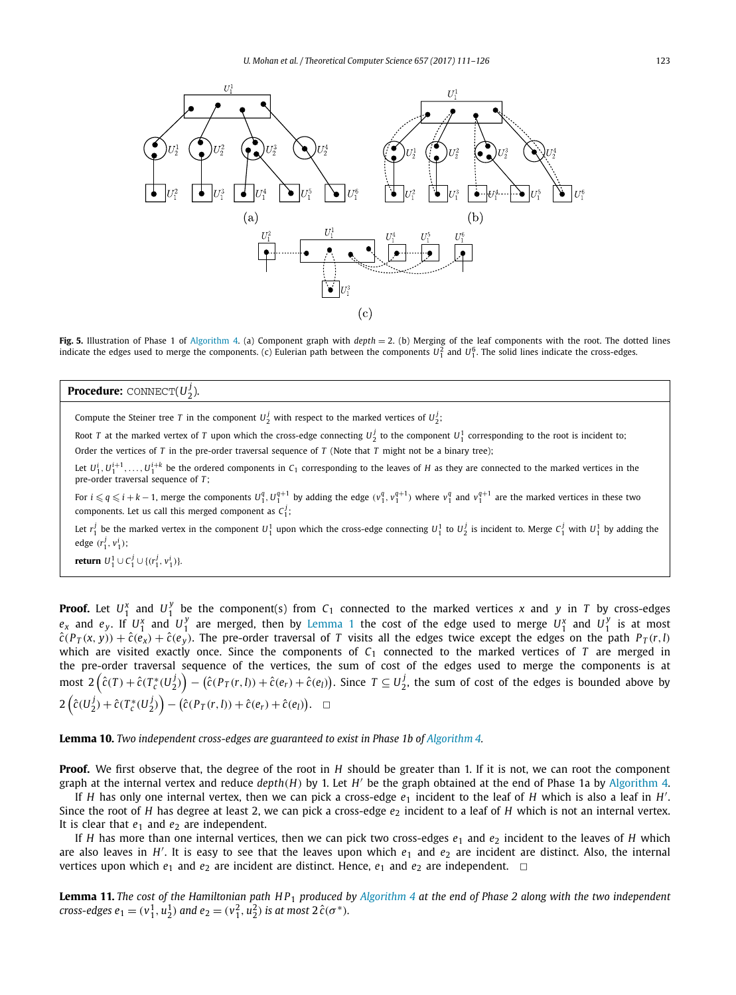

**Fig. 5.** Illustration of Phase 1 of Algorithm 4. (a) Component graph with *depth* = 2. (b) Merging of the leaf components with the root. The dotted lines indicate the edges used to merge the components. (c) Eulerian path between the components  $U_1^2$  and  $U_1^6$ . The solid lines indicate the cross-edges.

# **Procedure:** CONNECT(*U j* 2 ).

Compute the Steiner tree *T* in the component  $U^j_2$  with respect to the marked vertices of  $U^j_2$ ;

Root *T* at the marked vertex of *T* upon which the cross-edge connecting  $U_2^j$  to the component  $U_1^1$  corresponding to the root is incident to; Order the vertices of *T* in the pre-order traversal sequence of *T* (Note that *T* might not be a binary tree);

Let  $U_1^i, U_1^{i+1}, \ldots, U_1^{i+k}$  be the ordered components in  $C_1$  corresponding to the leaves of *H* as they are connected to the marked vertices in the pre-order traversal sequence of *T* ;

For  $i\leqslant q \leqslant i+k-1$ , merge the components  $U_1^q, U_1^{q+1}$  by adding the edge  $(v_1^q, v_1^{q+1})$  where  $v_1^q$  and  $v_1^{q+1}$  are the marked vertices in these two components. Let us call this merged component as  $C_1^j$ ;

Let  $r_1^j$  be the marked vertex in the component  $U_1^1$  upon which the cross-edge connecting  $U_1^1$  to  $U_2^j$  is incident to. Merge  $C_1^j$  with  $U_1^1$  by adding the edge  $(r_1^j, v_1^i)$ ;

**return**  $U_1^1 \cup C_1^j \cup \{(r_1^j, v_1^i)\}.$ 

**Proof.** Let  $U_1^x$  and  $U_1^y$  be the component(s) from  $C_1$  connected to the marked vertices *x* and *y* in *T* by cross-edges  $e_x$  and  $e_y$ . If  $U_1^x$  and  $U_1^y$  are merged, then by Lemma 1 the cost of the edge used to merge  $U_1^x$  and  $U_1^y$  is at most  $\hat{c}(P_T(x, y)) + \hat{c}(e_x) + \hat{c}(e_y)$ . The pre-order traversal of T visits all the edges twice except the edges on the path  $P_T(r, l)$ which are visited exactly once. Since the components of  $C_1$  connected to the marked vertices of *T* are merged in the pre-order traversal sequence of the vertices, the sum of cost of the edges used to merge the components is at most  $2\left(\hat{c}(T)+\hat{c}(T_c^*(U_2^j)\right)-\left(\hat{c}(P_T(r,l))+\hat{c}(e_r)+\hat{c}(e_l)\right)$ . Since  $T\subseteq U_2^j$ , the sum of cost of the edges is bounded above by  $2\left(\hat{c}(U_2^j) + \hat{c}(T_c^*(U_2^j)) - (\hat{c}(P_T(r,l)) + \hat{c}(e_r) + \hat{c}(e_l)\right).$ 

# **Lemma 10.** *Two independent cross-edges are guaranteed to exist in Phase 1b of Algorithm 4.*

**Proof.** We first observe that, the degree of the root in *H* should be greater than 1. If it is not, we can root the component graph at the internal vertex and reduce *depth*(*H*) by 1. Let *H* ′ be the graph obtained at the end of Phase 1a by Algorithm 4.

If *H* has only one internal vertex, then we can pick a cross-edge  $e_1$  incident to the leaf of *H* which is also a leaf in *H'*. Since the root of *H* has degree at least 2, we can pick a cross-edge  $e_2$  incident to a leaf of *H* which is not an internal vertex. It is clear that  $e_1$  and  $e_2$  are independent.

If *H* has more than one internal vertices, then we can pick two cross-edges  $e_1$  and  $e_2$  incident to the leaves of *H* which are also leaves in H'. It is easy to see that the leaves upon which  $e_1$  and  $e_2$  are incident are distinct. Also, the internal vertices upon which  $e_1$  and  $e_2$  are incident are distinct. Hence,  $e_1$  and  $e_2$  are independent.  $\Box$ 

**Lemma 11.** The cost of the Hamiltonian path  $HP_1$  produced by Algorithm 4 at the end of Phase 2 along with the two independent *cross-edges*  $e_1 = (v_1^1, u_2^1)$  *and*  $e_2 = (v_1^2, u_2^2)$  *is at most*  $2\hat{c}(\sigma^*)$ *.*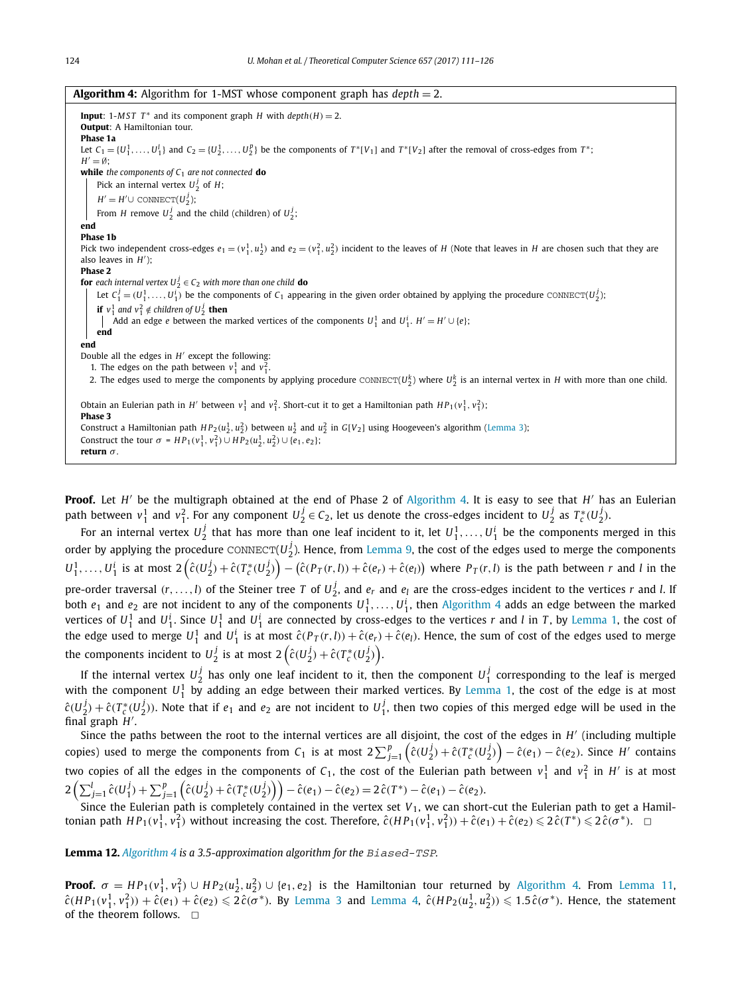| <b>Algorithm 4:</b> Algorithm for 1-MST whose component graph has $depth = 2$ .                                                                                                               |  |  |  |  |
|-----------------------------------------------------------------------------------------------------------------------------------------------------------------------------------------------|--|--|--|--|
| <b>Input:</b> 1-MST $T^*$ and its component graph H with $depth(H) = 2$ .<br><b>Output:</b> A Hamiltonian tour.<br>Phase 1a                                                                   |  |  |  |  |
| Let $C_1 = \{U_1^1, \ldots, U_1^1\}$ and $C_2 = \{U_2^1, \ldots, U_2^p\}$ be the components of $T^*[V_1]$ and $T^*[V_2]$ after the removal of cross-edges from $T^*$ ;<br>$H' = \emptyset$ ;  |  |  |  |  |
| while the components of $C_1$ are not connected do                                                                                                                                            |  |  |  |  |
| Pick an internal vertex $U_2^j$ of H;                                                                                                                                                         |  |  |  |  |
| $H' = H' \cup \text{CONNECT}(U_2^j);$                                                                                                                                                         |  |  |  |  |
| From <i>H</i> remove $U_2^j$ and the child (children) of $U_2^j$ ;                                                                                                                            |  |  |  |  |
| end                                                                                                                                                                                           |  |  |  |  |
| <b>Phase 1b</b>                                                                                                                                                                               |  |  |  |  |
| Pick two independent cross-edges $e_1 = (v_1^1, u_2^1)$ and $e_2 = (v_1^2, u_2^2)$ incident to the leaves of H (Note that leaves in H are chosen such that they are<br>also leaves in $H'$ ); |  |  |  |  |
| Phase 2                                                                                                                                                                                       |  |  |  |  |
| <b>for</b> each internal vertex $U_2^j \in C_2$ with more than one child <b>do</b>                                                                                                            |  |  |  |  |
| Let $C_1^j = (U_1^1, \ldots, U_1^j)$ be the components of $C_1$ appearing in the given order obtained by applying the procedure CONNECT( $U_2^j$ );                                           |  |  |  |  |
| <b>if</b> $v_1^1$ and $v_1^2 \notin$ children of $U_2^j$ <b>then</b>                                                                                                                          |  |  |  |  |
| Add an edge <i>e</i> between the marked vertices of the components $U_1^1$ and $U_1^i$ . $H' = H' \cup \{e\}$ ;                                                                               |  |  |  |  |
| end                                                                                                                                                                                           |  |  |  |  |
| end                                                                                                                                                                                           |  |  |  |  |
| Double all the edges in $H'$ except the following:<br>1. The edges on the path between $v_1^1$ and $v_1^2$ .                                                                                  |  |  |  |  |
| 2. The edges used to merge the components by applying procedure CONNECT( $U_2^k$ ) where $U_2^k$ is an internal vertex in H with more than one child.                                         |  |  |  |  |
|                                                                                                                                                                                               |  |  |  |  |
| Obtain an Eulerian path in H' between $v_1^1$ and $v_1^2$ . Short-cut it to get a Hamiltonian path $HP_1(v_1^1, v_1^2)$ ;<br>Phase 3                                                          |  |  |  |  |
| Construct a Hamiltonian path $HP_2(u_2^1, u_2^2)$ between $u_2^1$ and $u_2^2$ in $G[V_2]$ using Hoogeveen's algorithm (Lemma 3);                                                              |  |  |  |  |
| Construct the tour $\sigma = HP_1(v_1^1, v_1^2) \cup HP_2(u_2^1, u_2^2) \cup \{e_1, e_2\};$                                                                                                   |  |  |  |  |
| return $\sigma$ .                                                                                                                                                                             |  |  |  |  |

**Proof.** Let *H'* be the multigraph obtained at the end of Phase 2 of Algorithm 4. It is easy to see that *H'* has an Eulerian path between  $v_1^1$  and  $v_1^2$ . For any component  $U_2^j \in C_2$ , let us denote the cross-edges incident to  $U_2^j$  as  $T_c^*(U_2^j)$ .

For an internal vertex  $U_2^j$  that has more than one leaf incident to it, let  $U_1^1,\ldots,U_1^i$  be the components merged in this order by applying the procedure  $\text{convECT}(U_2^j)$ . Hence, from Lemma 9, the cost of the edges used to merge the components  $U_1^1,\ldots,U_1^i$  is at most  $2\left(\hat{c}(U_2^j)+\hat{c}(T_c^*(U_2^j)\right)-\left(\hat{c}(P_T(r,l))+\hat{c}(e_r)+\hat{c}(e_l)\right)$  where  $P_T(r,l)$  is the path between r and l in the pre-order traversal  $(r,\ldots,l)$  of the Steiner tree *T* of  $U_2^j$ , and  $e_r$  and  $e_l$  are the cross-edges incident to the vertices *r* and *l*. If both  $e_1$  and  $e_2$  are not incident to any of the components  $U_1^1, \ldots, U_1^i$ , then Algorithm 4 adds an edge between the marked vertices of  $U_1^1$  and  $U_1^i$ . Since  $U_1^1$  and  $U_1^i$  are connected by cross-edges to the vertices  $r$  and  $l$  in  $T$ , by Lemma 1, the cost of the edge used to merge  $U_1^1$  and  $U_1^i$  is at most  $\hat{c}(P_T(r,l)) + \hat{c}(e_r) + \hat{c}(e_l)$ . Hence, the sum of cost of the edges used to merge the components incident to  $U_2^j$  is at most  $2\left(\hat{c}(U_2^j)+\hat{c}(T_c^*(U_2^j)\right)$ .

If the internal vertex  $U_2^j$  has only one leaf incident to it, then the component  $U_1^j$  corresponding to the leaf is merged with the component  $U_1^1$  by adding an edge between their marked vertices. By Lemma 1, the cost of the edge is at most  $\hat{c}(U_2^j) + \hat{c}(T_c^*(U_2^j))$ . Note that if  $e_1$  and  $e_2$  are not incident to  $U_1^j$ , then two copies of this merged edge will be used in the final graph *H* ′ .

Since the paths between the root to the internal vertices are all disjoint, the cost of the edges in *H'* (including multiple copies) used to merge the components from  $C_1$  is at most  $2\sum_{j=1}^p\left(\hat{c}(U_2^j)+\hat{c}(T_c^*(U_2^j)\right)-\hat{c}(e_1)-\hat{c}(e_2)$ . Since H' contains two copies of all the edges in the components of  $C_1$ , the cost of the Eulerian path between  $v_1^1$  and  $v_1^2$  in  $H'$  is at most  $2\left(\sum_{j=1}^{l}\hat{c}(U_1^j) + \sum_{j=1}^{p}\left(\hat{c}(U_2^j) + \hat{c}(T_c^*(U_2^j)\right)\right) - \hat{c}(e_1) - \hat{c}(e_2) = 2\,\hat{c}(T^*) - \hat{c}(e_1) - \hat{c}(e_2).$ 

Since the Eulerian path is completely contained in the vertex set *V*1, we can short-cut the Eulerian path to get a Hamiltonian path  $HP_1(v_1^1, v_1^2)$  without increasing the cost. Therefore,  $\hat{c}(HP_1(v_1^1, v_1^2)) + \hat{c}(e_1) + \hat{c}(e_2) \leq 2\hat{c}(T^*) \leq 2\hat{c}(\sigma^*)$ .

# **Lemma 12.** *Algorithm 4 is a 3.5-approximation algorithm for the* Biased-TSP*.*

**Proof.**  $\sigma = HP_1(v_1^1, v_1^2) \cup HP_2(u_2^1, u_2^2) \cup \{e_1, e_2\}$  is the Hamiltonian tour returned by Algorithm 4. From Lemma 11,  $\hat{\mathsf{c}}(HP_1(v_1^1, v_1^2)) + \hat{\mathsf{c}}(e_1) + \hat{\mathsf{c}}(e_2) \leqslant 2\hat{\mathsf{c}}(\sigma^*).$  By Lemma 3 and Lemma 4,  $\hat{\mathsf{c}}(HP_2(u_2^1, u_2^2)) \leqslant 1.5\hat{\mathsf{c}}(\sigma^*).$  Hence, the statement of the theorem follows.  $\square$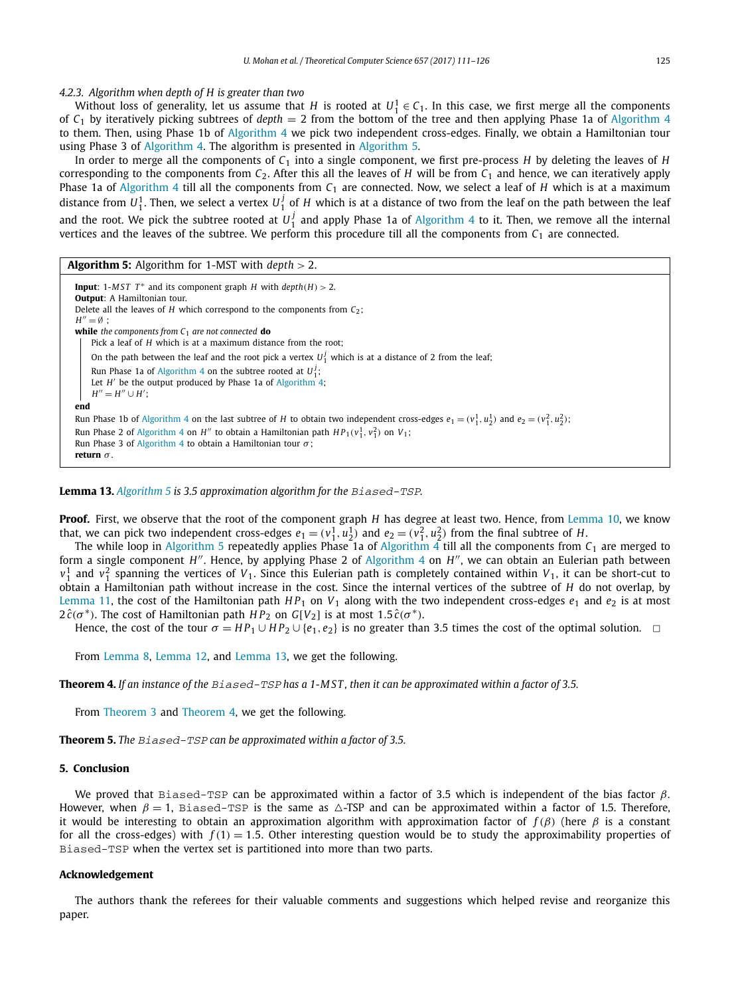# *4.2.3. Algorithm when depth of H is greater than two*

Without loss of generality, let us assume that *H* is rooted at  $U_1^1 \in C_1$ . In this case, we first merge all the components of  $C_1$  by iteratively picking subtrees of *depth* = 2 from the bottom of the tree and then applying Phase 1a of Algorithm 4 to them. Then, using Phase 1b of Algorithm 4 we pick two independent cross-edges. Finally, we obtain a Hamiltonian tour using Phase 3 of Algorithm 4. The algorithm is presented in Algorithm 5.

In order to merge all the components of *C*<sup>1</sup> into a single component, we first pre-process *H* by deleting the leaves of *H* corresponding to the components from  $C_2$ . After this all the leaves of *H* will be from  $C_1$  and hence, we can iteratively apply Phase 1a of Algorithm 4 till all the components from *C*<sup>1</sup> are connected. Now, we select a leaf of *H* which is at a maximum distance from  $U_1^1$ . Then, we select a vertex  $U_1^j$  of  $H$  which is at a distance of two from the leaf on the path between the leaf and the root. We pick the subtree rooted at  $U_1^j$  and apply Phase 1a of Algorithm 4 to it. Then, we remove all the internal vertices and the leaves of the subtree. We perform this procedure till all the components from  $C_1$  are connected.

| <b>Algorithm 5:</b> Algorithm for 1-MST with $depth > 2$ .                                                                                                                                                                                                                                                                                                   |  |  |  |
|--------------------------------------------------------------------------------------------------------------------------------------------------------------------------------------------------------------------------------------------------------------------------------------------------------------------------------------------------------------|--|--|--|
| <b>Input:</b> 1-MST $T^*$ and its component graph H with $depth(H) > 2$ .<br><b>Output:</b> A Hamiltonian tour.<br>Delete all the leaves of H which correspond to the components from $C_2$ .<br>$H'' = \emptyset$ :<br><b>while</b> the components from $C_1$ are not connected <b>do</b><br>Pick a leaf of H which is at a maximum distance from the root: |  |  |  |
| On the path between the leaf and the root pick a vertex $U_1^j$ which is at a distance of 2 from the leaf;<br>Run Phase 1a of Algorithm 4 on the subtree rooted at $U_1^j$ ;<br>Let $H'$ be the output produced by Phase 1a of Algorithm 4;<br>$H'' = H'' \cup H'$ :                                                                                         |  |  |  |
| end<br>Run Phase 1b of Algorithm 4 on the last subtree of H to obtain two independent cross-edges $e_1 = (v_1^1, u_2^1)$ and $e_2 = (v_1^2, u_2^2)$ ;<br>Run Phase 2 of Algorithm 4 on H'' to obtain a Hamiltonian path $HP_1(v_1^1, v_1^2)$ on $V_1$ ;<br>Run Phase 3 of Algorithm 4 to obtain a Hamiltonian tour $\sigma$ ;<br>return $\sigma$ .           |  |  |  |

#### **Lemma 13.** *Algorithm 5 is 3.5 approximation algorithm for the* Biased-TSP*.*

**Proof.** First, we observe that the root of the component graph *H* has degree at least two. Hence, from Lemma 10, we know that, we can pick two independent cross-edges  $e_1 = (v_1^1, u_2^1)$  and  $e_2 = (v_1^2, u_2^2)$  from the final subtree of *H*.

The while loop in Algorithm 5 repeatedly applies Phase 1a of Algorithm  $4$  till all the components from  $C_1$  are merged to form a single component *H*". Hence, by applying Phase 2 of Algorithm 4 on *H*", we can obtain an Eulerian path between  $v_1^1$  and  $v_1^2$  spanning the vertices of *V*<sub>1</sub>. Since this Eulerian path is completely contained within *V*<sub>1</sub>, it can be short-cut to obtain a Hamiltonian path without increase in the cost. Since the internal vertices of the subtree of *H* do not overlap, by Lemma 11, the cost of the Hamiltonian path  $HP_1$  on  $V_1$  along with the two independent cross-edges  $e_1$  and  $e_2$  is at most  $2\,\hat{c}(\sigma^*)$ . The cost of Hamiltonian path  $HP_2$  on  $G[V_2]$  is at most  $1.5\,\hat{c}(\sigma^*)$ .

Hence, the cost of the tour  $\sigma = HP_1 \cup HP_2 \cup \{e_1,e_2\}$  is no greater than 3.5 times the cost of the optimal solution.  $\Box$ 

From Lemma 8, Lemma 12, and Lemma 13, we get the following.

**Theorem 4.** If an instance of the  $Biased-TSP$  has a 1-MST, then it can be approximated within a factor of 3.5.

From Theorem 3 and Theorem 4, we get the following.

**Theorem 5.** *The* Biased-TSP *can be approximated within a factor of 3.5.*

# **5. Conclusion**

We proved that Biased-TSP can be approximated within a factor of 3.5 which is independent of the bias factor  $\beta$ . However, when  $\beta = 1$ , Biased-TSP is the same as  $\triangle$ -TSP and can be approximated within a factor of 1.5. Therefore, it would be interesting to obtain an approximation algorithm with approximation factor of  $f(\beta)$  (here  $\beta$  is a constant for all the cross-edges) with  $f(1) = 1.5$ . Other interesting question would be to study the approximability properties of Biased-TSP when the vertex set is partitioned into more than two parts.

# **Acknowledgement**

The authors thank the referees for their valuable comments and suggestions which helped revise and reorganize this paper.